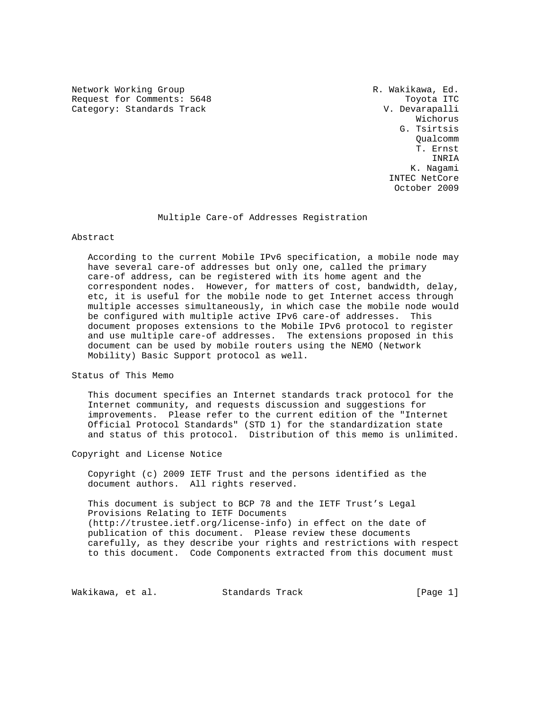Network Working Group **R. Wakikawa, Ed.** R. Wakikawa, Ed. Request for Comments: 5648 Toyota ITC Category: Standards Track V. Devarapalli

 Wichorus G. Tsirtsis Qualcomm T. Ernst INRIA K. Nagami INTEC NetCore October 2009

## Multiple Care-of Addresses Registration

Abstract

 According to the current Mobile IPv6 specification, a mobile node may have several care-of addresses but only one, called the primary care-of address, can be registered with its home agent and the correspondent nodes. However, for matters of cost, bandwidth, delay, etc, it is useful for the mobile node to get Internet access through multiple accesses simultaneously, in which case the mobile node would be configured with multiple active IPv6 care-of addresses. This document proposes extensions to the Mobile IPv6 protocol to register and use multiple care-of addresses. The extensions proposed in this document can be used by mobile routers using the NEMO (Network Mobility) Basic Support protocol as well.

Status of This Memo

 This document specifies an Internet standards track protocol for the Internet community, and requests discussion and suggestions for improvements. Please refer to the current edition of the "Internet Official Protocol Standards" (STD 1) for the standardization state and status of this protocol. Distribution of this memo is unlimited.

Copyright and License Notice

 Copyright (c) 2009 IETF Trust and the persons identified as the document authors. All rights reserved.

 This document is subject to BCP 78 and the IETF Trust's Legal Provisions Relating to IETF Documents (http://trustee.ietf.org/license-info) in effect on the date of publication of this document. Please review these documents carefully, as they describe your rights and restrictions with respect to this document. Code Components extracted from this document must

Wakikawa, et al. Standards Track [Page 1]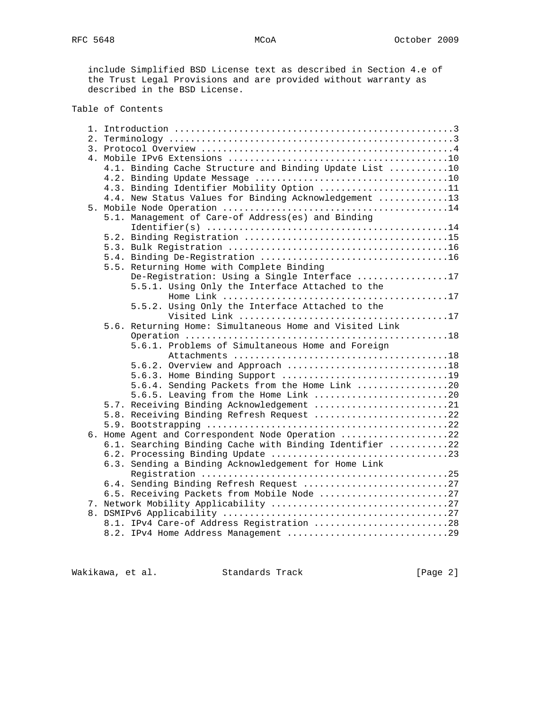include Simplified BSD License text as described in Section 4.e of the Trust Legal Provisions and are provided without warranty as described in the BSD License.

## Table of Contents

|  | 4.1. Binding Cache Structure and Binding Update List 10 |  |  |  |  |  |
|--|---------------------------------------------------------|--|--|--|--|--|
|  |                                                         |  |  |  |  |  |
|  | 4.3. Binding Identifier Mobility Option 11              |  |  |  |  |  |
|  | 4.4. New Status Values for Binding Acknowledgement 13   |  |  |  |  |  |
|  |                                                         |  |  |  |  |  |
|  | 5.1. Management of Care-of Address(es) and Binding      |  |  |  |  |  |
|  |                                                         |  |  |  |  |  |
|  |                                                         |  |  |  |  |  |
|  |                                                         |  |  |  |  |  |
|  |                                                         |  |  |  |  |  |
|  | 5.5. Returning Home with Complete Binding               |  |  |  |  |  |
|  | De-Registration: Using a Single Interface 17            |  |  |  |  |  |
|  | 5.5.1. Using Only the Interface Attached to the         |  |  |  |  |  |
|  |                                                         |  |  |  |  |  |
|  | 5.5.2. Using Only the Interface Attached to the         |  |  |  |  |  |
|  |                                                         |  |  |  |  |  |
|  | 5.6. Returning Home: Simultaneous Home and Visited Link |  |  |  |  |  |
|  |                                                         |  |  |  |  |  |
|  | 5.6.1. Problems of Simultaneous Home and Foreign        |  |  |  |  |  |
|  |                                                         |  |  |  |  |  |
|  | 5.6.2. Overview and Approach 18                         |  |  |  |  |  |
|  | 5.6.3. Home Binding Support 19                          |  |  |  |  |  |
|  | 5.6.4. Sending Packets from the Home Link 20            |  |  |  |  |  |
|  | 5.6.5. Leaving from the Home Link 20                    |  |  |  |  |  |
|  | 5.7. Receiving Binding Acknowledgement 21               |  |  |  |  |  |
|  | 5.8. Receiving Binding Refresh Request 22               |  |  |  |  |  |
|  |                                                         |  |  |  |  |  |
|  | 6. Home Agent and Correspondent Node Operation 22       |  |  |  |  |  |
|  | 6.1. Searching Binding Cache with Binding Identifier 22 |  |  |  |  |  |
|  |                                                         |  |  |  |  |  |
|  | 6.3. Sending a Binding Acknowledgement for Home Link    |  |  |  |  |  |
|  |                                                         |  |  |  |  |  |
|  | 6.4. Sending Binding Refresh Request 27                 |  |  |  |  |  |
|  | 6.5. Receiving Packets from Mobile Node 27              |  |  |  |  |  |
|  |                                                         |  |  |  |  |  |
|  |                                                         |  |  |  |  |  |
|  | 8.1. IPv4 Care-of Address Registration 28               |  |  |  |  |  |
|  | 8.2. IPv4 Home Address Management 29                    |  |  |  |  |  |

Wakikawa, et al. Standards Track [Page 2]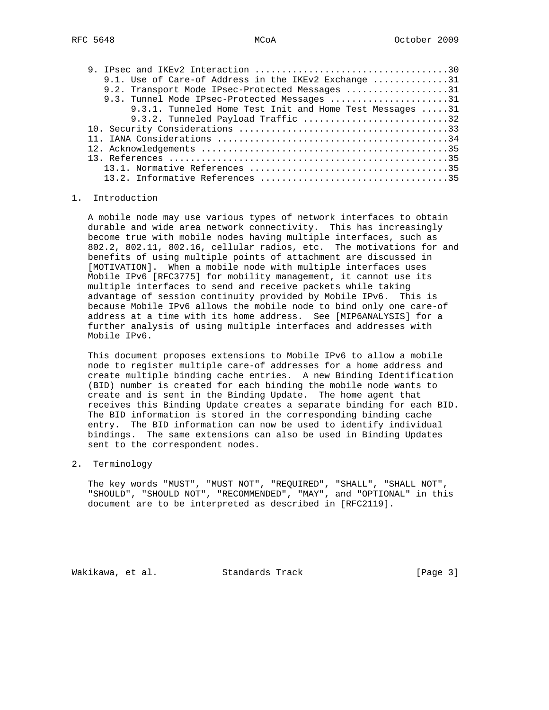| 9.1. Use of Care-of Address in the IKEv2 Exchange 31     |
|----------------------------------------------------------|
| 9.2. Transport Mode IPsec-Protected Messages 31          |
| 9.3. Tunnel Mode IPsec-Protected Messages 31             |
| 9.3.1. Tunneled Home Test Init and Home Test Messages 31 |
| 9.3.2. Tunneled Payload Traffic 32                       |
|                                                          |
|                                                          |
|                                                          |
|                                                          |
|                                                          |
|                                                          |

## 1. Introduction

 A mobile node may use various types of network interfaces to obtain durable and wide area network connectivity. This has increasingly become true with mobile nodes having multiple interfaces, such as 802.2, 802.11, 802.16, cellular radios, etc. The motivations for and benefits of using multiple points of attachment are discussed in [MOTIVATION]. When a mobile node with multiple interfaces uses Mobile IPv6 [RFC3775] for mobility management, it cannot use its multiple interfaces to send and receive packets while taking advantage of session continuity provided by Mobile IPv6. This is because Mobile IPv6 allows the mobile node to bind only one care-of address at a time with its home address. See [MIP6ANALYSIS] for a further analysis of using multiple interfaces and addresses with Mobile IPv6.

 This document proposes extensions to Mobile IPv6 to allow a mobile node to register multiple care-of addresses for a home address and create multiple binding cache entries. A new Binding Identification (BID) number is created for each binding the mobile node wants to create and is sent in the Binding Update. The home agent that receives this Binding Update creates a separate binding for each BID. The BID information is stored in the corresponding binding cache entry. The BID information can now be used to identify individual bindings. The same extensions can also be used in Binding Updates sent to the correspondent nodes.

2. Terminology

 The key words "MUST", "MUST NOT", "REQUIRED", "SHALL", "SHALL NOT", "SHOULD", "SHOULD NOT", "RECOMMENDED", "MAY", and "OPTIONAL" in this document are to be interpreted as described in [RFC2119].

Wakikawa, et al. Standards Track [Page 3]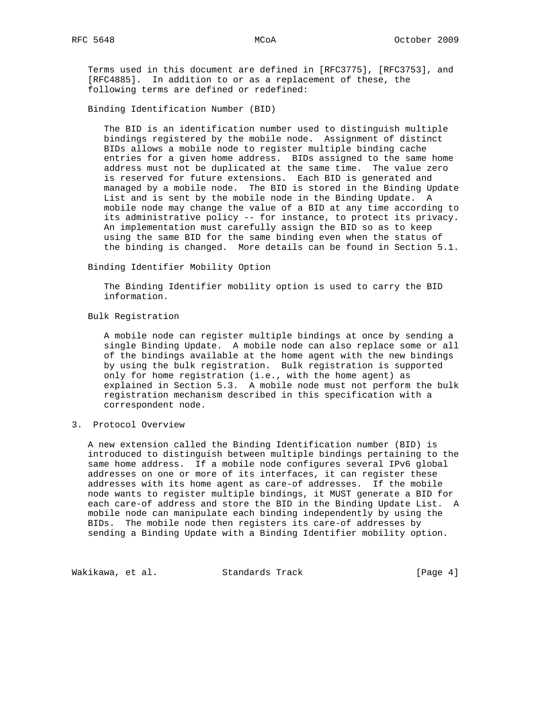Terms used in this document are defined in [RFC3775], [RFC3753], and [RFC4885]. In addition to or as a replacement of these, the following terms are defined or redefined:

Binding Identification Number (BID)

 The BID is an identification number used to distinguish multiple bindings registered by the mobile node. Assignment of distinct BIDs allows a mobile node to register multiple binding cache entries for a given home address. BIDs assigned to the same home address must not be duplicated at the same time. The value zero is reserved for future extensions. Each BID is generated and managed by a mobile node. The BID is stored in the Binding Update List and is sent by the mobile node in the Binding Update. A mobile node may change the value of a BID at any time according to its administrative policy -- for instance, to protect its privacy. An implementation must carefully assign the BID so as to keep using the same BID for the same binding even when the status of the binding is changed. More details can be found in Section 5.1.

Binding Identifier Mobility Option

 The Binding Identifier mobility option is used to carry the BID information.

Bulk Registration

 A mobile node can register multiple bindings at once by sending a single Binding Update. A mobile node can also replace some or all of the bindings available at the home agent with the new bindings by using the bulk registration. Bulk registration is supported only for home registration (i.e., with the home agent) as explained in Section 5.3. A mobile node must not perform the bulk registration mechanism described in this specification with a correspondent node.

3. Protocol Overview

 A new extension called the Binding Identification number (BID) is introduced to distinguish between multiple bindings pertaining to the same home address. If a mobile node configures several IPv6 global addresses on one or more of its interfaces, it can register these addresses with its home agent as care-of addresses. If the mobile node wants to register multiple bindings, it MUST generate a BID for each care-of address and store the BID in the Binding Update List. A mobile node can manipulate each binding independently by using the BIDs. The mobile node then registers its care-of addresses by sending a Binding Update with a Binding Identifier mobility option.

Wakikawa, et al. Standards Track (Page 4)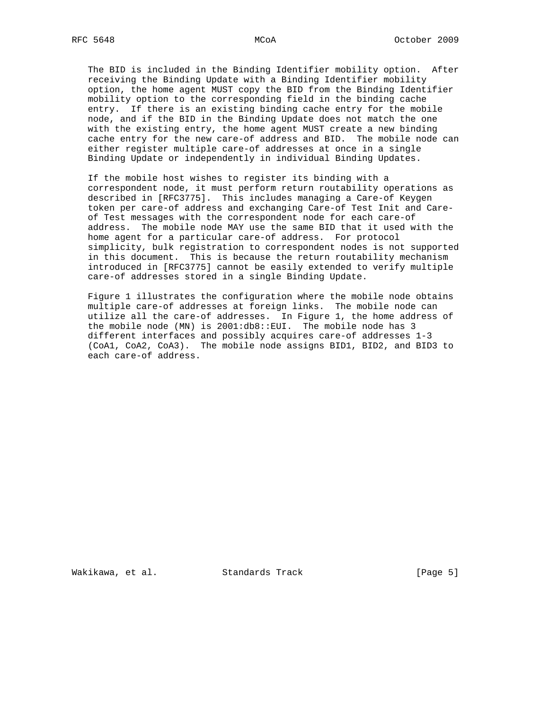The BID is included in the Binding Identifier mobility option. After receiving the Binding Update with a Binding Identifier mobility option, the home agent MUST copy the BID from the Binding Identifier mobility option to the corresponding field in the binding cache entry. If there is an existing binding cache entry for the mobile node, and if the BID in the Binding Update does not match the one with the existing entry, the home agent MUST create a new binding cache entry for the new care-of address and BID. The mobile node can either register multiple care-of addresses at once in a single Binding Update or independently in individual Binding Updates.

 If the mobile host wishes to register its binding with a correspondent node, it must perform return routability operations as described in [RFC3775]. This includes managing a Care-of Keygen token per care-of address and exchanging Care-of Test Init and Care of Test messages with the correspondent node for each care-of address. The mobile node MAY use the same BID that it used with the home agent for a particular care-of address. For protocol simplicity, bulk registration to correspondent nodes is not supported in this document. This is because the return routability mechanism introduced in [RFC3775] cannot be easily extended to verify multiple care-of addresses stored in a single Binding Update.

 Figure 1 illustrates the configuration where the mobile node obtains multiple care-of addresses at foreign links. The mobile node can utilize all the care-of addresses. In Figure 1, the home address of the mobile node (MN) is 2001:db8::EUI. The mobile node has 3 different interfaces and possibly acquires care-of addresses 1-3 (CoA1, CoA2, CoA3). The mobile node assigns BID1, BID2, and BID3 to each care-of address.

Wakikawa, et al. Standards Track (Page 5)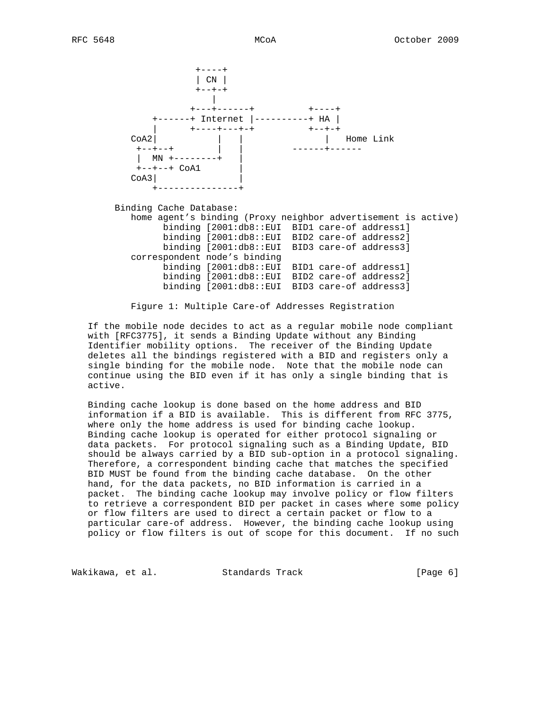+----+ | CN | +--+-+ | +---+------+ +----+ +------+ Internet |----------+ HA | | +---------+<br>| +----+--++ +--+-+<br>| | | Home Link CoA2| | | | Home Link +--+--+ | | ------+------  $\begin{vmatrix} 1 & MP & +----- & -+ \end{vmatrix}$  $+--+--+$  CoA1  $COA3$  | +---------------+ Binding Cache Database: home agent's binding (Proxy neighbor advertisement is active) binding [2001:db8::EUI BID1 care-of address1]

 binding [2001:db8::EUI BID2 care-of address2] binding [2001:db8::EUI BID3 care-of address3] correspondent node's binding binding [2001:db8::EUI BID1 care-of address1] binding [2001:db8::EUI BID2 care-of address2] binding [2001:db8::EUI BID3 care-of address3]

Figure 1: Multiple Care-of Addresses Registration

 If the mobile node decides to act as a regular mobile node compliant with [RFC3775], it sends a Binding Update without any Binding Identifier mobility options. The receiver of the Binding Update deletes all the bindings registered with a BID and registers only a single binding for the mobile node. Note that the mobile node can continue using the BID even if it has only a single binding that is active.

 Binding cache lookup is done based on the home address and BID information if a BID is available. This is different from RFC 3775, where only the home address is used for binding cache lookup. Binding cache lookup is operated for either protocol signaling or data packets. For protocol signaling such as a Binding Update, BID should be always carried by a BID sub-option in a protocol signaling. Therefore, a correspondent binding cache that matches the specified BID MUST be found from the binding cache database. On the other hand, for the data packets, no BID information is carried in a packet. The binding cache lookup may involve policy or flow filters to retrieve a correspondent BID per packet in cases where some policy or flow filters are used to direct a certain packet or flow to a particular care-of address. However, the binding cache lookup using policy or flow filters is out of scope for this document. If no such

Wakikawa, et al. Standards Track (Page 6)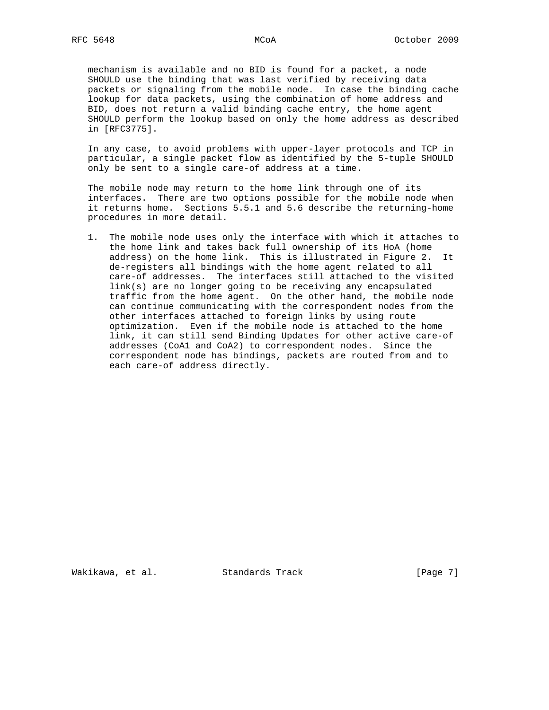mechanism is available and no BID is found for a packet, a node SHOULD use the binding that was last verified by receiving data packets or signaling from the mobile node. In case the binding cache lookup for data packets, using the combination of home address and BID, does not return a valid binding cache entry, the home agent SHOULD perform the lookup based on only the home address as described in [RFC3775].

 In any case, to avoid problems with upper-layer protocols and TCP in particular, a single packet flow as identified by the 5-tuple SHOULD only be sent to a single care-of address at a time.

 The mobile node may return to the home link through one of its interfaces. There are two options possible for the mobile node when it returns home. Sections 5.5.1 and 5.6 describe the returning-home procedures in more detail.

 1. The mobile node uses only the interface with which it attaches to the home link and takes back full ownership of its HoA (home address) on the home link. This is illustrated in Figure 2. It de-registers all bindings with the home agent related to all care-of addresses. The interfaces still attached to the visited link(s) are no longer going to be receiving any encapsulated traffic from the home agent. On the other hand, the mobile node can continue communicating with the correspondent nodes from the other interfaces attached to foreign links by using route optimization. Even if the mobile node is attached to the home link, it can still send Binding Updates for other active care-of addresses (CoA1 and CoA2) to correspondent nodes. Since the correspondent node has bindings, packets are routed from and to each care-of address directly.

Wakikawa, et al. Standards Track [Page 7]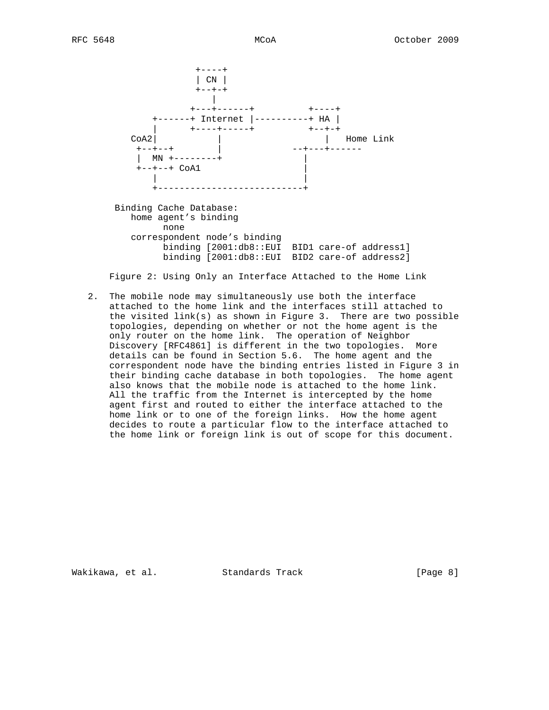$+ - - - +$  | CN | +--+-+ | +---+------+ +----+ +------+ Internet |----------+ HA | | +----+------+ +--+-+ CoA2| | | | Home Link +--+--+ | --+---+------ | MN +--------+ |  $+--+--+$  CoA1 | | | +---------------------------+ Binding Cache Database: home agent's binding none correspondent node's binding binding [2001:db8::EUI BID1 care-of address1] binding [2001:db8::EUI BID2 care-of address2]

Figure 2: Using Only an Interface Attached to the Home Link

 2. The mobile node may simultaneously use both the interface attached to the home link and the interfaces still attached to the visited link(s) as shown in Figure 3. There are two possible topologies, depending on whether or not the home agent is the only router on the home link. The operation of Neighbor Discovery [RFC4861] is different in the two topologies. More details can be found in Section 5.6. The home agent and the correspondent node have the binding entries listed in Figure 3 in their binding cache database in both topologies. The home agent also knows that the mobile node is attached to the home link. All the traffic from the Internet is intercepted by the home agent first and routed to either the interface attached to the home link or to one of the foreign links. How the home agent decides to route a particular flow to the interface attached to the home link or foreign link is out of scope for this document.

Wakikawa, et al. Standards Track (Page 8)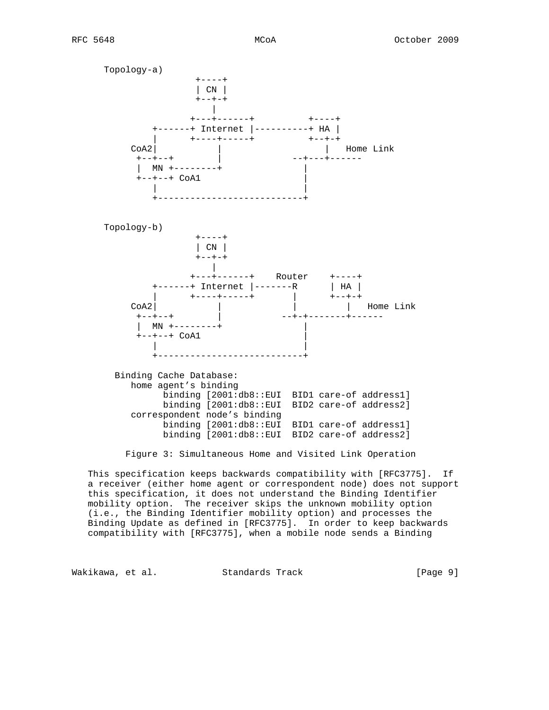Topology-a) +----+ | CN |  $+--+-+$  | +---+------+ +----+ +------+ Internet |----------+ HA | | +----+------+ +--+-+ CoA2| | | Home Link +--+--+ | --+---+------ | MN +--------+ |  $+--+--+$  CoA1 | | +---------------------------+ Topology-b) +----+ | CN |  $+--+-+$  | +---+------+ Router +----+ +------+ Internet |-------R | HA | | +----+-----+ | +--+-+ CoA2| | | | Home Link +--+--+ | --+-+-------+------  $\vert$  MN +--------+  $+--+--+$  CoA1 | | | +---------------------------+ Binding Cache Database: home agent's binding binding [2001:db8::EUI BID1 care-of address1] binding [2001:db8::EUI BID2 care-of address2] correspondent node's binding binding [2001:db8::EUI BID1 care-of address1] binding [2001:db8::EUI BID2 care-of address2]

Figure 3: Simultaneous Home and Visited Link Operation

 This specification keeps backwards compatibility with [RFC3775]. If a receiver (either home agent or correspondent node) does not support this specification, it does not understand the Binding Identifier mobility option. The receiver skips the unknown mobility option (i.e., the Binding Identifier mobility option) and processes the Binding Update as defined in [RFC3775]. In order to keep backwards compatibility with [RFC3775], when a mobile node sends a Binding

Wakikawa, et al. Standards Track and Evaluate (Page 9)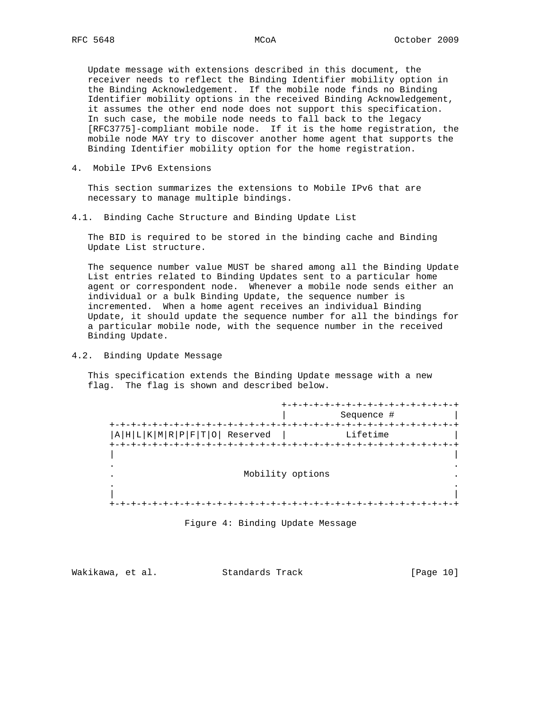Update message with extensions described in this document, the receiver needs to reflect the Binding Identifier mobility option in the Binding Acknowledgement. If the mobile node finds no Binding Identifier mobility options in the received Binding Acknowledgement, it assumes the other end node does not support this specification. In such case, the mobile node needs to fall back to the legacy [RFC3775]-compliant mobile node. If it is the home registration, the mobile node MAY try to discover another home agent that supports the Binding Identifier mobility option for the home registration.

4. Mobile IPv6 Extensions

 This section summarizes the extensions to Mobile IPv6 that are necessary to manage multiple bindings.

4.1. Binding Cache Structure and Binding Update List

 The BID is required to be stored in the binding cache and Binding Update List structure.

 The sequence number value MUST be shared among all the Binding Update List entries related to Binding Updates sent to a particular home agent or correspondent node. Whenever a mobile node sends either an individual or a bulk Binding Update, the sequence number is incremented. When a home agent receives an individual Binding Update, it should update the sequence number for all the bindings for a particular mobile node, with the sequence number in the received Binding Update.

4.2. Binding Update Message

 This specification extends the Binding Update message with a new flag. The flag is shown and described below.

|                                  | $+-+ -$          |
|----------------------------------|------------------|
|                                  | Sequence #       |
|                                  |                  |
| $ A H L K M R P F T 0 $ Reserved | Lifetime         |
| $+ - + - +$                      |                  |
|                                  |                  |
|                                  |                  |
|                                  | Mobility options |
|                                  |                  |
|                                  |                  |
|                                  |                  |

Figure 4: Binding Update Message

| Wakikawa, et al. |  | Standards Track | [Page 10] |  |
|------------------|--|-----------------|-----------|--|
|                  |  |                 |           |  |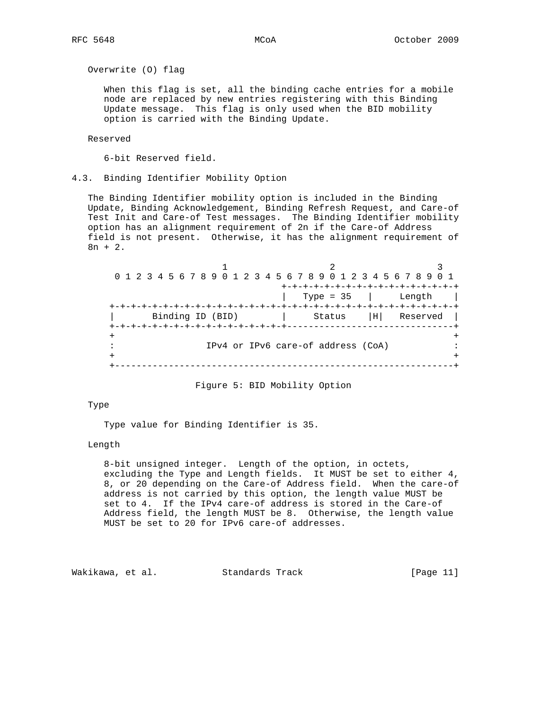Overwrite (O) flag

 When this flag is set, all the binding cache entries for a mobile node are replaced by new entries registering with this Binding Update message. This flag is only used when the BID mobility option is carried with the Binding Update.

Reserved

6-bit Reserved field.

4.3. Binding Identifier Mobility Option

 The Binding Identifier mobility option is included in the Binding Update, Binding Acknowledgement, Binding Refresh Request, and Care-of Test Init and Care-of Test messages. The Binding Identifier mobility option has an alignment requirement of 2n if the Care-of Address field is not present. Otherwise, it has the alignment requirement of 8n + 2.

 $1$  2 3 0 1 2 3 4 5 6 7 8 9 0 1 2 3 4 5 6 7 8 9 0 1 2 3 4 5 6 7 8 9 0 1 +-+-+-+-+-+-+-+-+-+-+-+-+-+-+-+-+ | Type = 35 | Length | +-+-+-+-+-+-+-+-+-+-+-+-+-+-+-+-+-+-+-+-+-+-+-+-+-+-+-+-+-+-+-+-+ | Binding ID (BID) | Status |H| Reserved | +-+-+-+-+-+-+-+-+-+-+-+-+-+-+-+-+-------------------------------+ + + : IPv4 or IPv6 care-of address (CoA) : + + +---------------------------------------------------------------+

Figure 5: BID Mobility Option

## Type

Type value for Binding Identifier is 35.

#### Length

 8-bit unsigned integer. Length of the option, in octets, excluding the Type and Length fields. It MUST be set to either 4, 8, or 20 depending on the Care-of Address field. When the care-of address is not carried by this option, the length value MUST be set to 4. If the IPv4 care-of address is stored in the Care-of Address field, the length MUST be 8. Otherwise, the length value MUST be set to 20 for IPv6 care-of addresses.

Wakikawa, et al. Standards Track [Page 11]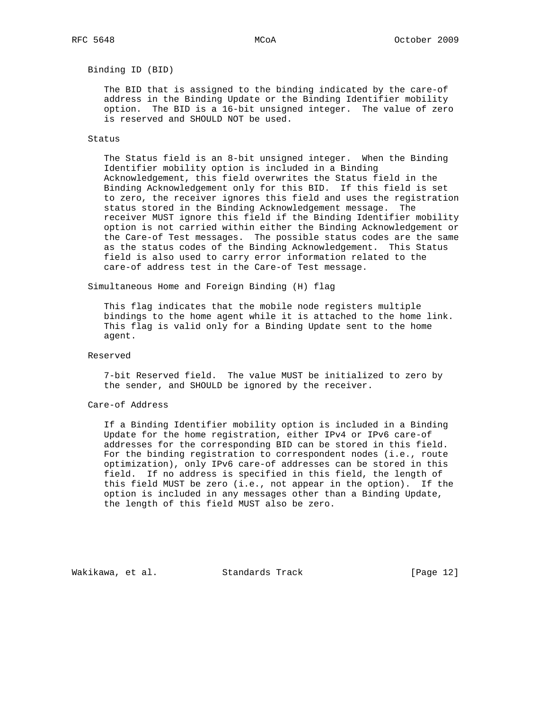Binding ID (BID)

 The BID that is assigned to the binding indicated by the care-of address in the Binding Update or the Binding Identifier mobility option. The BID is a 16-bit unsigned integer. The value of zero is reserved and SHOULD NOT be used.

#### Status

 The Status field is an 8-bit unsigned integer. When the Binding Identifier mobility option is included in a Binding Acknowledgement, this field overwrites the Status field in the Binding Acknowledgement only for this BID. If this field is set to zero, the receiver ignores this field and uses the registration status stored in the Binding Acknowledgement message. The receiver MUST ignore this field if the Binding Identifier mobility option is not carried within either the Binding Acknowledgement or the Care-of Test messages. The possible status codes are the same as the status codes of the Binding Acknowledgement. This Status field is also used to carry error information related to the care-of address test in the Care-of Test message.

Simultaneous Home and Foreign Binding (H) flag

 This flag indicates that the mobile node registers multiple bindings to the home agent while it is attached to the home link. This flag is valid only for a Binding Update sent to the home agent.

#### Reserved

 7-bit Reserved field. The value MUST be initialized to zero by the sender, and SHOULD be ignored by the receiver.

## Care-of Address

 If a Binding Identifier mobility option is included in a Binding Update for the home registration, either IPv4 or IPv6 care-of addresses for the corresponding BID can be stored in this field. For the binding registration to correspondent nodes (i.e., route optimization), only IPv6 care-of addresses can be stored in this field. If no address is specified in this field, the length of this field MUST be zero (i.e., not appear in the option). If the option is included in any messages other than a Binding Update, the length of this field MUST also be zero.

Wakikawa, et al. Standards Track [Page 12]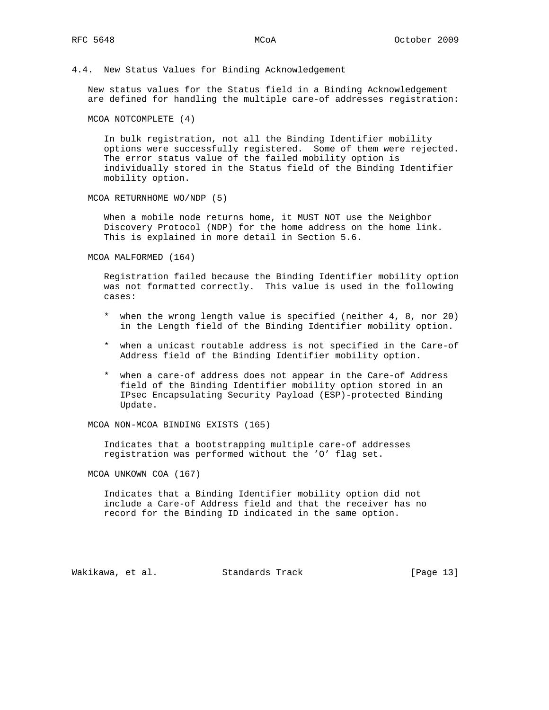4.4. New Status Values for Binding Acknowledgement

 New status values for the Status field in a Binding Acknowledgement are defined for handling the multiple care-of addresses registration:

MCOA NOTCOMPLETE (4)

 In bulk registration, not all the Binding Identifier mobility options were successfully registered. Some of them were rejected. The error status value of the failed mobility option is individually stored in the Status field of the Binding Identifier mobility option.

MCOA RETURNHOME WO/NDP (5)

 When a mobile node returns home, it MUST NOT use the Neighbor Discovery Protocol (NDP) for the home address on the home link. This is explained in more detail in Section 5.6.

MCOA MALFORMED (164)

 Registration failed because the Binding Identifier mobility option was not formatted correctly. This value is used in the following cases:

- \* when the wrong length value is specified (neither 4, 8, nor 20) in the Length field of the Binding Identifier mobility option.
- \* when a unicast routable address is not specified in the Care-of Address field of the Binding Identifier mobility option.
- \* when a care-of address does not appear in the Care-of Address field of the Binding Identifier mobility option stored in an IPsec Encapsulating Security Payload (ESP)-protected Binding Update.

MCOA NON-MCOA BINDING EXISTS (165)

 Indicates that a bootstrapping multiple care-of addresses registration was performed without the 'O' flag set.

MCOA UNKOWN COA (167)

 Indicates that a Binding Identifier mobility option did not include a Care-of Address field and that the receiver has no record for the Binding ID indicated in the same option.

Wakikawa, et al. Standards Track [Page 13]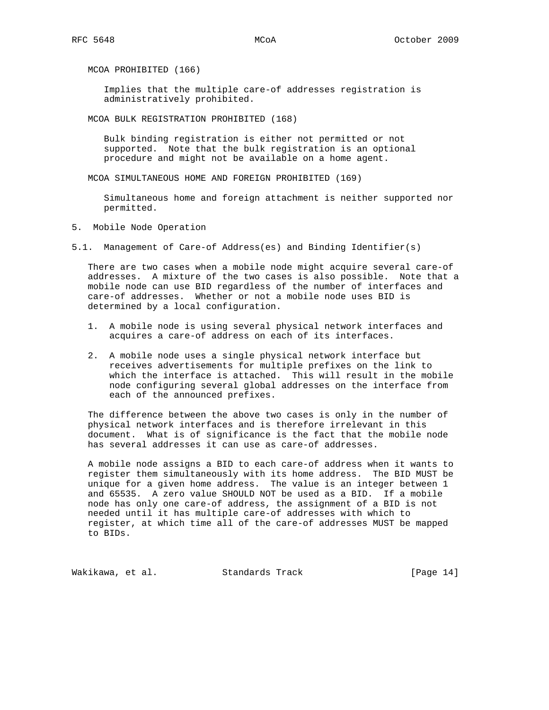MCOA PROHIBITED (166)

 Implies that the multiple care-of addresses registration is administratively prohibited.

MCOA BULK REGISTRATION PROHIBITED (168)

 Bulk binding registration is either not permitted or not supported. Note that the bulk registration is an optional procedure and might not be available on a home agent.

MCOA SIMULTANEOUS HOME AND FOREIGN PROHIBITED (169)

 Simultaneous home and foreign attachment is neither supported nor permitted.

5. Mobile Node Operation

5.1. Management of Care-of Address(es) and Binding Identifier(s)

 There are two cases when a mobile node might acquire several care-of addresses. A mixture of the two cases is also possible. Note that a mobile node can use BID regardless of the number of interfaces and care-of addresses. Whether or not a mobile node uses BID is determined by a local configuration.

- 1. A mobile node is using several physical network interfaces and acquires a care-of address on each of its interfaces.
- 2. A mobile node uses a single physical network interface but receives advertisements for multiple prefixes on the link to which the interface is attached. This will result in the mobile node configuring several global addresses on the interface from each of the announced prefixes.

 The difference between the above two cases is only in the number of physical network interfaces and is therefore irrelevant in this document. What is of significance is the fact that the mobile node has several addresses it can use as care-of addresses.

 A mobile node assigns a BID to each care-of address when it wants to register them simultaneously with its home address. The BID MUST be unique for a given home address. The value is an integer between 1 and 65535. A zero value SHOULD NOT be used as a BID. If a mobile node has only one care-of address, the assignment of a BID is not needed until it has multiple care-of addresses with which to register, at which time all of the care-of addresses MUST be mapped to BIDs.

Wakikawa, et al. Standards Track [Page 14]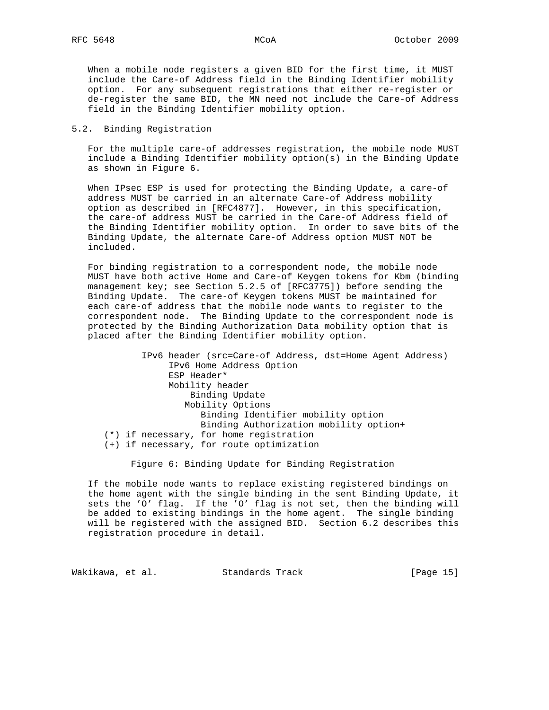When a mobile node registers a given BID for the first time, it MUST include the Care-of Address field in the Binding Identifier mobility option. For any subsequent registrations that either re-register or de-register the same BID, the MN need not include the Care-of Address field in the Binding Identifier mobility option.

## 5.2. Binding Registration

 For the multiple care-of addresses registration, the mobile node MUST include a Binding Identifier mobility option(s) in the Binding Update as shown in Figure 6.

 When IPsec ESP is used for protecting the Binding Update, a care-of address MUST be carried in an alternate Care-of Address mobility option as described in [RFC4877]. However, in this specification, the care-of address MUST be carried in the Care-of Address field of the Binding Identifier mobility option. In order to save bits of the Binding Update, the alternate Care-of Address option MUST NOT be included.

 For binding registration to a correspondent node, the mobile node MUST have both active Home and Care-of Keygen tokens for Kbm (binding management key; see Section 5.2.5 of [RFC3775]) before sending the Binding Update. The care-of Keygen tokens MUST be maintained for each care-of address that the mobile node wants to register to the correspondent node. The Binding Update to the correspondent node is protected by the Binding Authorization Data mobility option that is placed after the Binding Identifier mobility option.

 IPv6 header (src=Care-of Address, dst=Home Agent Address) IPv6 Home Address Option ESP Header\* Mobility header Binding Update Mobility Options Binding Identifier mobility option Binding Authorization mobility option+ (\*) if necessary, for home registration (+) if necessary, for route optimization

Figure 6: Binding Update for Binding Registration

 If the mobile node wants to replace existing registered bindings on the home agent with the single binding in the sent Binding Update, it sets the 'O' flag. If the 'O' flag is not set, then the binding will be added to existing bindings in the home agent. The single binding will be registered with the assigned BID. Section 6.2 describes this registration procedure in detail.

Wakikawa, et al. Standards Track [Page 15]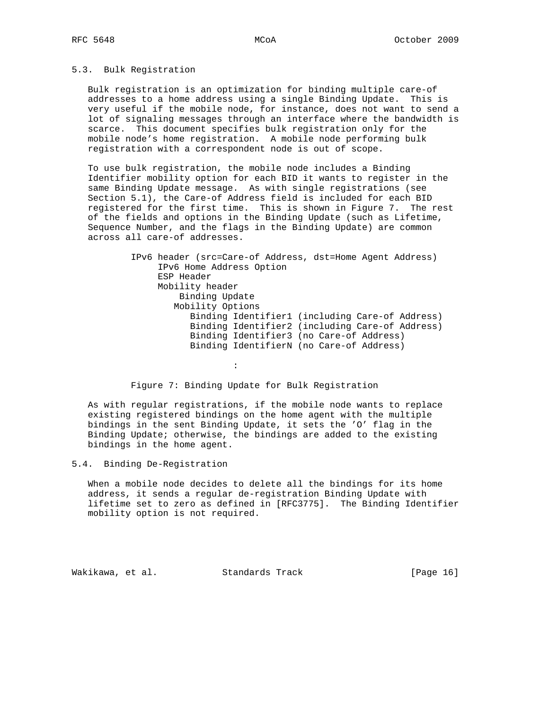#### 5.3. Bulk Registration

 Bulk registration is an optimization for binding multiple care-of addresses to a home address using a single Binding Update. This is very useful if the mobile node, for instance, does not want to send a lot of signaling messages through an interface where the bandwidth is scarce. This document specifies bulk registration only for the mobile node's home registration. A mobile node performing bulk registration with a correspondent node is out of scope.

 To use bulk registration, the mobile node includes a Binding Identifier mobility option for each BID it wants to register in the same Binding Update message. As with single registrations (see Section 5.1), the Care-of Address field is included for each BID registered for the first time. This is shown in Figure 7. The rest of the fields and options in the Binding Update (such as Lifetime, Sequence Number, and the flags in the Binding Update) are common across all care-of addresses.

> IPv6 header (src=Care-of Address, dst=Home Agent Address) IPv6 Home Address Option ESP Header Mobility header Binding Update Mobility Options Binding Identifier1 (including Care-of Address) Binding Identifier2 (including Care-of Address) Binding Identifier3 (no Care-of Address) Binding IdentifierN (no Care-of Address)

Figure 7: Binding Update for Bulk Registration

 As with regular registrations, if the mobile node wants to replace existing registered bindings on the home agent with the multiple bindings in the sent Binding Update, it sets the 'O' flag in the Binding Update; otherwise, the bindings are added to the existing bindings in the home agent.

5.4. Binding De-Registration

the contract of the contract of the contract of

 When a mobile node decides to delete all the bindings for its home address, it sends a regular de-registration Binding Update with lifetime set to zero as defined in [RFC3775]. The Binding Identifier mobility option is not required.

Wakikawa, et al. Standards Track [Page 16]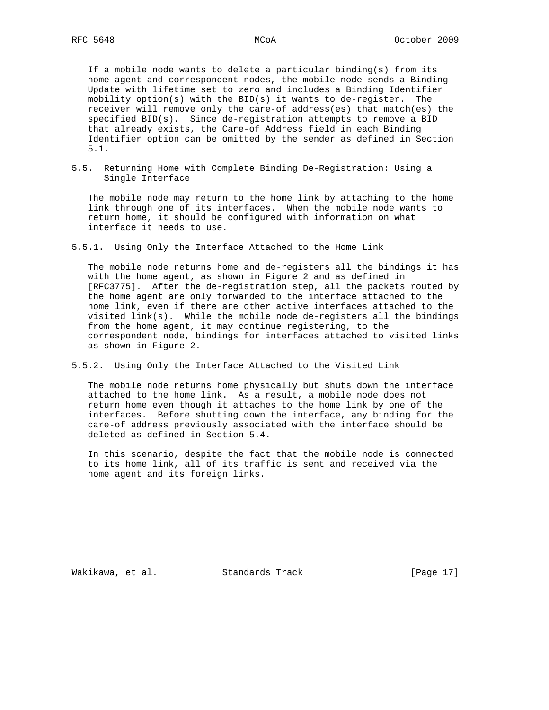If a mobile node wants to delete a particular binding(s) from its home agent and correspondent nodes, the mobile node sends a Binding Update with lifetime set to zero and includes a Binding Identifier mobility option(s) with the BID(s) it wants to de-register. The receiver will remove only the care-of address(es) that match(es) the specified BID(s). Since de-registration attempts to remove a BID that already exists, the Care-of Address field in each Binding Identifier option can be omitted by the sender as defined in Section 5.1.

5.5. Returning Home with Complete Binding De-Registration: Using a Single Interface

 The mobile node may return to the home link by attaching to the home link through one of its interfaces. When the mobile node wants to return home, it should be configured with information on what interface it needs to use.

5.5.1. Using Only the Interface Attached to the Home Link

 The mobile node returns home and de-registers all the bindings it has with the home agent, as shown in Figure 2 and as defined in [RFC3775]. After the de-registration step, all the packets routed by the home agent are only forwarded to the interface attached to the home link, even if there are other active interfaces attached to the visited link(s). While the mobile node de-registers all the bindings from the home agent, it may continue registering, to the correspondent node, bindings for interfaces attached to visited links as shown in Figure 2.

5.5.2. Using Only the Interface Attached to the Visited Link

 The mobile node returns home physically but shuts down the interface attached to the home link. As a result, a mobile node does not return home even though it attaches to the home link by one of the interfaces. Before shutting down the interface, any binding for the care-of address previously associated with the interface should be deleted as defined in Section 5.4.

 In this scenario, despite the fact that the mobile node is connected to its home link, all of its traffic is sent and received via the home agent and its foreign links.

Wakikawa, et al. Standards Track [Page 17]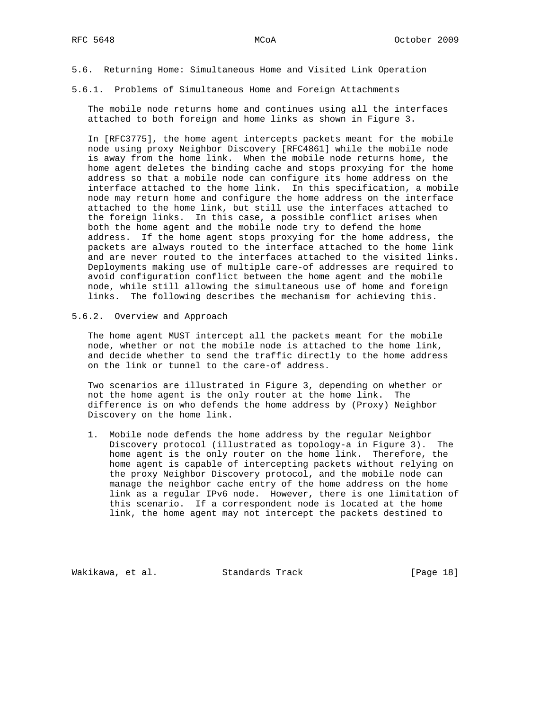- 5.6. Returning Home: Simultaneous Home and Visited Link Operation
- 5.6.1. Problems of Simultaneous Home and Foreign Attachments

 The mobile node returns home and continues using all the interfaces attached to both foreign and home links as shown in Figure 3.

 In [RFC3775], the home agent intercepts packets meant for the mobile node using proxy Neighbor Discovery [RFC4861] while the mobile node is away from the home link. When the mobile node returns home, the home agent deletes the binding cache and stops proxying for the home address so that a mobile node can configure its home address on the interface attached to the home link. In this specification, a mobile node may return home and configure the home address on the interface attached to the home link, but still use the interfaces attached to the foreign links. In this case, a possible conflict arises when both the home agent and the mobile node try to defend the home address. If the home agent stops proxying for the home address, the packets are always routed to the interface attached to the home link and are never routed to the interfaces attached to the visited links. Deployments making use of multiple care-of addresses are required to avoid configuration conflict between the home agent and the mobile node, while still allowing the simultaneous use of home and foreign links. The following describes the mechanism for achieving this.

5.6.2. Overview and Approach

 The home agent MUST intercept all the packets meant for the mobile node, whether or not the mobile node is attached to the home link, and decide whether to send the traffic directly to the home address on the link or tunnel to the care-of address.

 Two scenarios are illustrated in Figure 3, depending on whether or not the home agent is the only router at the home link. The difference is on who defends the home address by (Proxy) Neighbor Discovery on the home link.

 1. Mobile node defends the home address by the regular Neighbor Discovery protocol (illustrated as topology-a in Figure 3). The home agent is the only router on the home link. Therefore, the home agent is capable of intercepting packets without relying on the proxy Neighbor Discovery protocol, and the mobile node can manage the neighbor cache entry of the home address on the home link as a regular IPv6 node. However, there is one limitation of this scenario. If a correspondent node is located at the home link, the home agent may not intercept the packets destined to

Wakikawa, et al. Standards Track [Page 18]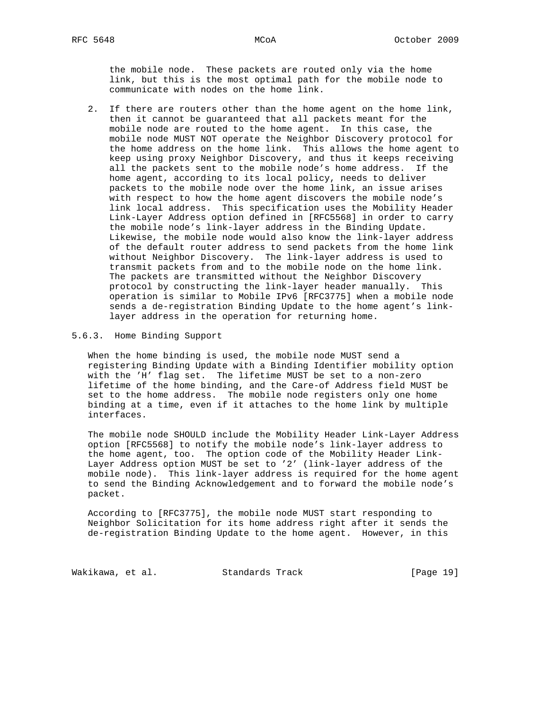the mobile node. These packets are routed only via the home link, but this is the most optimal path for the mobile node to communicate with nodes on the home link.

 2. If there are routers other than the home agent on the home link, then it cannot be guaranteed that all packets meant for the mobile node are routed to the home agent. In this case, the mobile node MUST NOT operate the Neighbor Discovery protocol for the home address on the home link. This allows the home agent to keep using proxy Neighbor Discovery, and thus it keeps receiving all the packets sent to the mobile node's home address. If the home agent, according to its local policy, needs to deliver packets to the mobile node over the home link, an issue arises with respect to how the home agent discovers the mobile node's link local address. This specification uses the Mobility Header Link-Layer Address option defined in [RFC5568] in order to carry the mobile node's link-layer address in the Binding Update. Likewise, the mobile node would also know the link-layer address of the default router address to send packets from the home link without Neighbor Discovery. The link-layer address is used to transmit packets from and to the mobile node on the home link. The packets are transmitted without the Neighbor Discovery protocol by constructing the link-layer header manually. This operation is similar to Mobile IPv6 [RFC3775] when a mobile node sends a de-registration Binding Update to the home agent's link layer address in the operation for returning home.

## 5.6.3. Home Binding Support

 When the home binding is used, the mobile node MUST send a registering Binding Update with a Binding Identifier mobility option with the 'H' flag set. The lifetime MUST be set to a non-zero lifetime of the home binding, and the Care-of Address field MUST be set to the home address. The mobile node registers only one home binding at a time, even if it attaches to the home link by multiple interfaces.

 The mobile node SHOULD include the Mobility Header Link-Layer Address option [RFC5568] to notify the mobile node's link-layer address to the home agent, too. The option code of the Mobility Header Link- Layer Address option MUST be set to '2' (link-layer address of the mobile node). This link-layer address is required for the home agent to send the Binding Acknowledgement and to forward the mobile node's packet.

 According to [RFC3775], the mobile node MUST start responding to Neighbor Solicitation for its home address right after it sends the de-registration Binding Update to the home agent. However, in this

Wakikawa, et al. Standards Track [Page 19]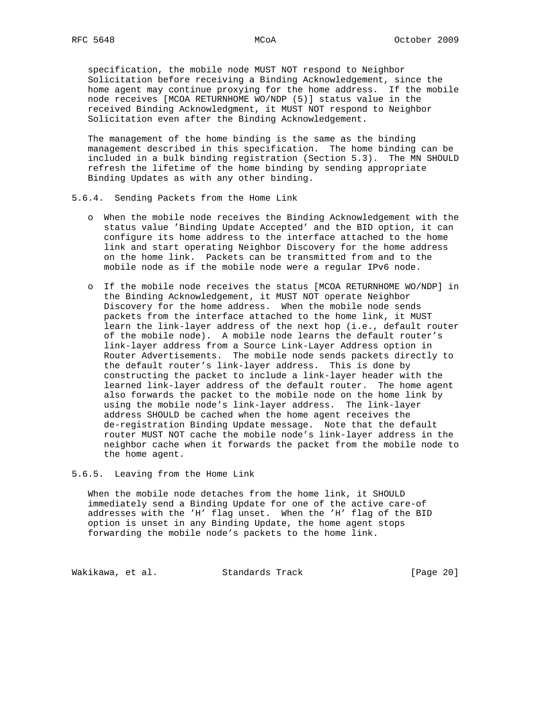specification, the mobile node MUST NOT respond to Neighbor Solicitation before receiving a Binding Acknowledgement, since the home agent may continue proxying for the home address. If the mobile node receives [MCOA RETURNHOME WO/NDP (5)] status value in the received Binding Acknowledgment, it MUST NOT respond to Neighbor Solicitation even after the Binding Acknowledgement.

 The management of the home binding is the same as the binding management described in this specification. The home binding can be included in a bulk binding registration (Section 5.3). The MN SHOULD refresh the lifetime of the home binding by sending appropriate Binding Updates as with any other binding.

- 5.6.4. Sending Packets from the Home Link
	- o When the mobile node receives the Binding Acknowledgement with the status value 'Binding Update Accepted' and the BID option, it can configure its home address to the interface attached to the home link and start operating Neighbor Discovery for the home address on the home link. Packets can be transmitted from and to the mobile node as if the mobile node were a regular IPv6 node.
	- o If the mobile node receives the status [MCOA RETURNHOME WO/NDP] in the Binding Acknowledgement, it MUST NOT operate Neighbor Discovery for the home address. When the mobile node sends packets from the interface attached to the home link, it MUST learn the link-layer address of the next hop (i.e., default router of the mobile node). A mobile node learns the default router's link-layer address from a Source Link-Layer Address option in Router Advertisements. The mobile node sends packets directly to the default router's link-layer address. This is done by constructing the packet to include a link-layer header with the learned link-layer address of the default router. The home agent also forwards the packet to the mobile node on the home link by using the mobile node's link-layer address. The link-layer address SHOULD be cached when the home agent receives the de-registration Binding Update message. Note that the default router MUST NOT cache the mobile node's link-layer address in the neighbor cache when it forwards the packet from the mobile node to the home agent.

5.6.5. Leaving from the Home Link

 When the mobile node detaches from the home link, it SHOULD immediately send a Binding Update for one of the active care-of addresses with the 'H' flag unset. When the 'H' flag of the BID option is unset in any Binding Update, the home agent stops forwarding the mobile node's packets to the home link.

Wakikawa, et al. Standards Track [Page 20]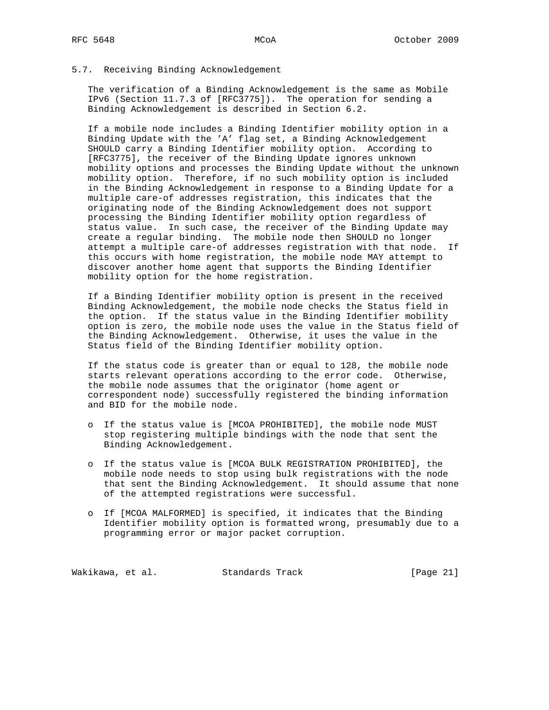## 5.7. Receiving Binding Acknowledgement

 The verification of a Binding Acknowledgement is the same as Mobile IPv6 (Section 11.7.3 of [RFC3775]). The operation for sending a Binding Acknowledgement is described in Section 6.2.

 If a mobile node includes a Binding Identifier mobility option in a Binding Update with the 'A' flag set, a Binding Acknowledgement SHOULD carry a Binding Identifier mobility option. According to [RFC3775], the receiver of the Binding Update ignores unknown mobility options and processes the Binding Update without the unknown mobility option. Therefore, if no such mobility option is included in the Binding Acknowledgement in response to a Binding Update for a multiple care-of addresses registration, this indicates that the originating node of the Binding Acknowledgement does not support processing the Binding Identifier mobility option regardless of status value. In such case, the receiver of the Binding Update may create a regular binding. The mobile node then SHOULD no longer attempt a multiple care-of addresses registration with that node. If this occurs with home registration, the mobile node MAY attempt to discover another home agent that supports the Binding Identifier mobility option for the home registration.

 If a Binding Identifier mobility option is present in the received Binding Acknowledgement, the mobile node checks the Status field in the option. If the status value in the Binding Identifier mobility option is zero, the mobile node uses the value in the Status field of the Binding Acknowledgement. Otherwise, it uses the value in the Status field of the Binding Identifier mobility option.

 If the status code is greater than or equal to 128, the mobile node starts relevant operations according to the error code. Otherwise, the mobile node assumes that the originator (home agent or correspondent node) successfully registered the binding information and BID for the mobile node.

- o If the status value is [MCOA PROHIBITED], the mobile node MUST stop registering multiple bindings with the node that sent the Binding Acknowledgement.
- o If the status value is [MCOA BULK REGISTRATION PROHIBITED], the mobile node needs to stop using bulk registrations with the node that sent the Binding Acknowledgement. It should assume that none of the attempted registrations were successful.
- o If [MCOA MALFORMED] is specified, it indicates that the Binding Identifier mobility option is formatted wrong, presumably due to a programming error or major packet corruption.

Wakikawa, et al. Standards Track [Page 21]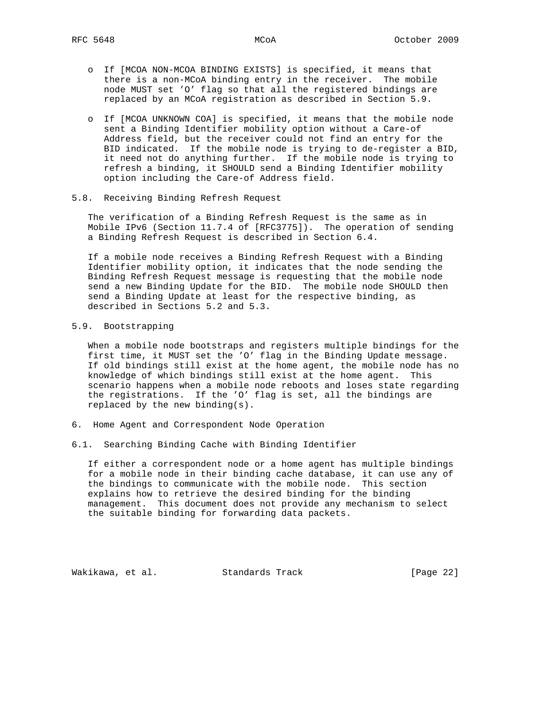- o If [MCOA NON-MCOA BINDING EXISTS] is specified, it means that there is a non-MCoA binding entry in the receiver. The mobile node MUST set 'O' flag so that all the registered bindings are replaced by an MCoA registration as described in Section 5.9.
- o If [MCOA UNKNOWN COA] is specified, it means that the mobile node sent a Binding Identifier mobility option without a Care-of Address field, but the receiver could not find an entry for the BID indicated. If the mobile node is trying to de-register a BID, it need not do anything further. If the mobile node is trying to refresh a binding, it SHOULD send a Binding Identifier mobility option including the Care-of Address field.
- 5.8. Receiving Binding Refresh Request

 The verification of a Binding Refresh Request is the same as in Mobile IPv6 (Section 11.7.4 of [RFC3775]). The operation of sending a Binding Refresh Request is described in Section 6.4.

 If a mobile node receives a Binding Refresh Request with a Binding Identifier mobility option, it indicates that the node sending the Binding Refresh Request message is requesting that the mobile node send a new Binding Update for the BID. The mobile node SHOULD then send a Binding Update at least for the respective binding, as described in Sections 5.2 and 5.3.

# 5.9. Bootstrapping

 When a mobile node bootstraps and registers multiple bindings for the first time, it MUST set the 'O' flag in the Binding Update message. If old bindings still exist at the home agent, the mobile node has no knowledge of which bindings still exist at the home agent. This scenario happens when a mobile node reboots and loses state regarding the registrations. If the 'O' flag is set, all the bindings are replaced by the new binding(s).

- 6. Home Agent and Correspondent Node Operation
- 6.1. Searching Binding Cache with Binding Identifier

 If either a correspondent node or a home agent has multiple bindings for a mobile node in their binding cache database, it can use any of the bindings to communicate with the mobile node. This section explains how to retrieve the desired binding for the binding management. This document does not provide any mechanism to select the suitable binding for forwarding data packets.

Wakikawa, et al. Standards Track [Page 22]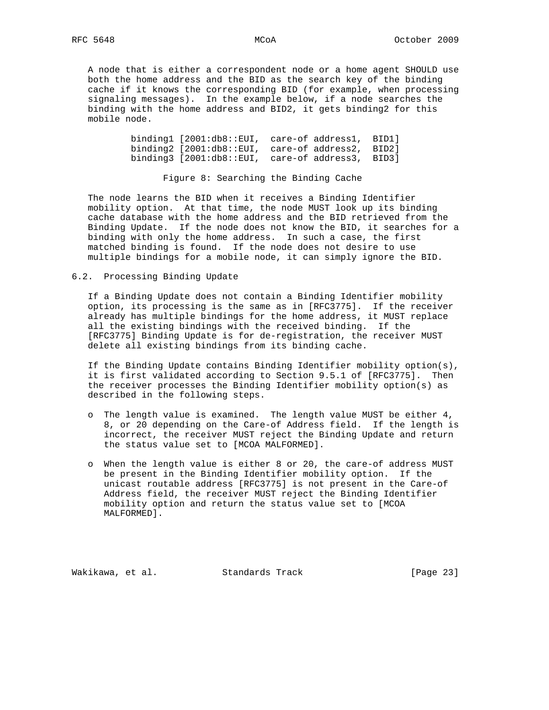A node that is either a correspondent node or a home agent SHOULD use both the home address and the BID as the search key of the binding cache if it knows the corresponding BID (for example, when processing signaling messages). In the example below, if a node searches the binding with the home address and BID2, it gets binding2 for this mobile node.

> binding1 [2001:db8::EUI, care-of address1, BID1] binding2 [2001:db8::EUI, care-of address2, BID2] binding3 [2001:db8::EUI, care-of address3, BID3]

> > Figure 8: Searching the Binding Cache

 The node learns the BID when it receives a Binding Identifier mobility option. At that time, the node MUST look up its binding cache database with the home address and the BID retrieved from the Binding Update. If the node does not know the BID, it searches for a binding with only the home address. In such a case, the first matched binding is found. If the node does not desire to use multiple bindings for a mobile node, it can simply ignore the BID.

### 6.2. Processing Binding Update

 If a Binding Update does not contain a Binding Identifier mobility option, its processing is the same as in [RFC3775]. If the receiver already has multiple bindings for the home address, it MUST replace all the existing bindings with the received binding. If the [RFC3775] Binding Update is for de-registration, the receiver MUST delete all existing bindings from its binding cache.

 If the Binding Update contains Binding Identifier mobility option(s), it is first validated according to Section 9.5.1 of [RFC3775]. Then the receiver processes the Binding Identifier mobility option(s) as described in the following steps.

- o The length value is examined. The length value MUST be either 4, 8, or 20 depending on the Care-of Address field. If the length is incorrect, the receiver MUST reject the Binding Update and return the status value set to [MCOA MALFORMED].
- o When the length value is either 8 or 20, the care-of address MUST be present in the Binding Identifier mobility option. If the unicast routable address [RFC3775] is not present in the Care-of Address field, the receiver MUST reject the Binding Identifier mobility option and return the status value set to [MCOA MALFORMED].

Wakikawa, et al. Standards Track [Page 23]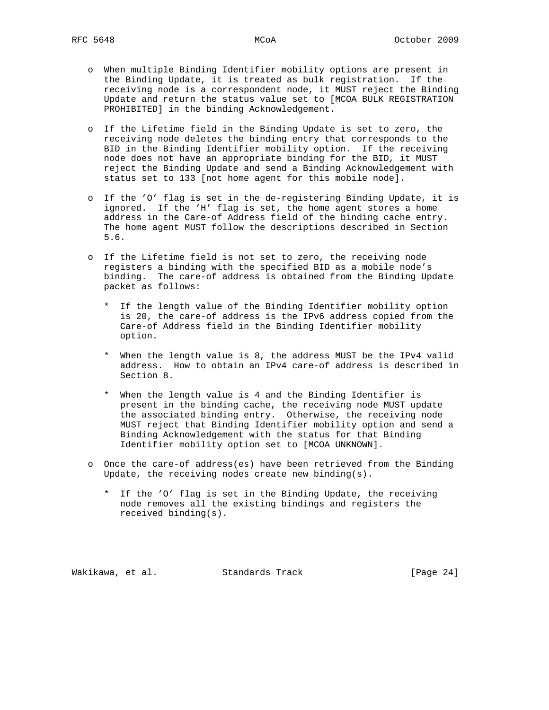- o When multiple Binding Identifier mobility options are present in the Binding Update, it is treated as bulk registration. If the receiving node is a correspondent node, it MUST reject the Binding Update and return the status value set to [MCOA BULK REGISTRATION PROHIBITED] in the binding Acknowledgement.
- o If the Lifetime field in the Binding Update is set to zero, the receiving node deletes the binding entry that corresponds to the BID in the Binding Identifier mobility option. If the receiving node does not have an appropriate binding for the BID, it MUST reject the Binding Update and send a Binding Acknowledgement with status set to 133 [not home agent for this mobile node].
- o If the 'O' flag is set in the de-registering Binding Update, it is ignored. If the 'H' flag is set, the home agent stores a home address in the Care-of Address field of the binding cache entry. The home agent MUST follow the descriptions described in Section 5.6.
- o If the Lifetime field is not set to zero, the receiving node registers a binding with the specified BID as a mobile node's binding. The care-of address is obtained from the Binding Update packet as follows:
	- \* If the length value of the Binding Identifier mobility option is 20, the care-of address is the IPv6 address copied from the Care-of Address field in the Binding Identifier mobility option.
	- \* When the length value is 8, the address MUST be the IPv4 valid address. How to obtain an IPv4 care-of address is described in Section 8.
	- \* When the length value is 4 and the Binding Identifier is present in the binding cache, the receiving node MUST update the associated binding entry. Otherwise, the receiving node MUST reject that Binding Identifier mobility option and send a Binding Acknowledgement with the status for that Binding Identifier mobility option set to [MCOA UNKNOWN].
- o Once the care-of address(es) have been retrieved from the Binding Update, the receiving nodes create new binding(s).
	- \* If the 'O' flag is set in the Binding Update, the receiving node removes all the existing bindings and registers the received binding(s).

Wakikawa, et al. Standards Track [Page 24]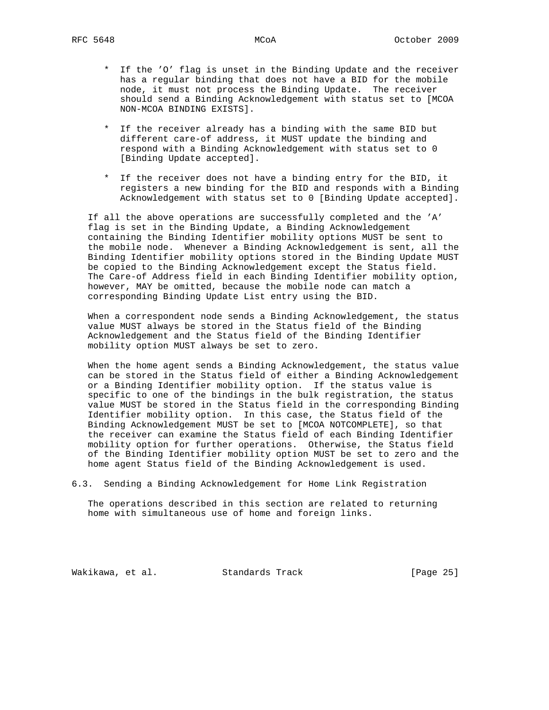- \* If the 'O' flag is unset in the Binding Update and the receiver has a regular binding that does not have a BID for the mobile node, it must not process the Binding Update. The receiver should send a Binding Acknowledgement with status set to [MCOA NON-MCOA BINDING EXISTS].
- \* If the receiver already has a binding with the same BID but different care-of address, it MUST update the binding and respond with a Binding Acknowledgement with status set to 0 [Binding Update accepted].
- \* If the receiver does not have a binding entry for the BID, it registers a new binding for the BID and responds with a Binding Acknowledgement with status set to 0 [Binding Update accepted].

 If all the above operations are successfully completed and the 'A' flag is set in the Binding Update, a Binding Acknowledgement containing the Binding Identifier mobility options MUST be sent to the mobile node. Whenever a Binding Acknowledgement is sent, all the Binding Identifier mobility options stored in the Binding Update MUST be copied to the Binding Acknowledgement except the Status field. The Care-of Address field in each Binding Identifier mobility option, however, MAY be omitted, because the mobile node can match a corresponding Binding Update List entry using the BID.

 When a correspondent node sends a Binding Acknowledgement, the status value MUST always be stored in the Status field of the Binding Acknowledgement and the Status field of the Binding Identifier mobility option MUST always be set to zero.

 When the home agent sends a Binding Acknowledgement, the status value can be stored in the Status field of either a Binding Acknowledgement or a Binding Identifier mobility option. If the status value is specific to one of the bindings in the bulk registration, the status value MUST be stored in the Status field in the corresponding Binding Identifier mobility option. In this case, the Status field of the Binding Acknowledgement MUST be set to [MCOA NOTCOMPLETE], so that the receiver can examine the Status field of each Binding Identifier mobility option for further operations. Otherwise, the Status field of the Binding Identifier mobility option MUST be set to zero and the home agent Status field of the Binding Acknowledgement is used.

6.3. Sending a Binding Acknowledgement for Home Link Registration

 The operations described in this section are related to returning home with simultaneous use of home and foreign links.

Wakikawa, et al. Standards Track [Page 25]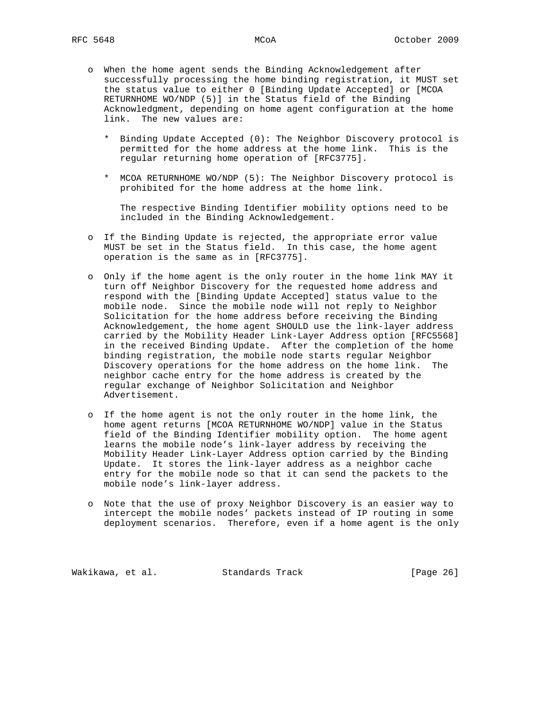- o When the home agent sends the Binding Acknowledgement after successfully processing the home binding registration, it MUST set the status value to either 0 [Binding Update Accepted] or [MCOA RETURNHOME WO/NDP (5)] in the Status field of the Binding Acknowledgment, depending on home agent configuration at the home link. The new values are:
	- \* Binding Update Accepted (0): The Neighbor Discovery protocol is permitted for the home address at the home link. This is the regular returning home operation of [RFC3775].
	- \* MCOA RETURNHOME WO/NDP (5): The Neighbor Discovery protocol is prohibited for the home address at the home link.

 The respective Binding Identifier mobility options need to be included in the Binding Acknowledgement.

- o If the Binding Update is rejected, the appropriate error value MUST be set in the Status field. In this case, the home agent operation is the same as in [RFC3775].
- o Only if the home agent is the only router in the home link MAY it turn off Neighbor Discovery for the requested home address and respond with the [Binding Update Accepted] status value to the mobile node. Since the mobile node will not reply to Neighbor Solicitation for the home address before receiving the Binding Acknowledgement, the home agent SHOULD use the link-layer address carried by the Mobility Header Link-Layer Address option [RFC5568] in the received Binding Update. After the completion of the home binding registration, the mobile node starts regular Neighbor Discovery operations for the home address on the home link. The neighbor cache entry for the home address is created by the regular exchange of Neighbor Solicitation and Neighbor Advertisement.
- o If the home agent is not the only router in the home link, the home agent returns [MCOA RETURNHOME WO/NDP] value in the Status field of the Binding Identifier mobility option. The home agent learns the mobile node's link-layer address by receiving the Mobility Header Link-Layer Address option carried by the Binding Update. It stores the link-layer address as a neighbor cache entry for the mobile node so that it can send the packets to the mobile node's link-layer address.
- o Note that the use of proxy Neighbor Discovery is an easier way to intercept the mobile nodes' packets instead of IP routing in some deployment scenarios. Therefore, even if a home agent is the only

Wakikawa, et al. Standards Track [Page 26]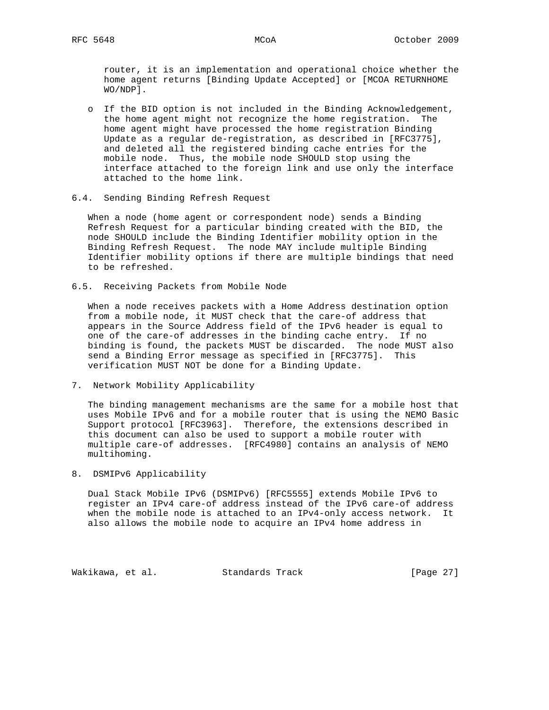router, it is an implementation and operational choice whether the home agent returns [Binding Update Accepted] or [MCOA RETURNHOME WO/NDP].

- o If the BID option is not included in the Binding Acknowledgement, the home agent might not recognize the home registration. The home agent might have processed the home registration Binding Update as a regular de-registration, as described in [RFC3775], and deleted all the registered binding cache entries for the mobile node. Thus, the mobile node SHOULD stop using the interface attached to the foreign link and use only the interface attached to the home link.
- 6.4. Sending Binding Refresh Request

 When a node (home agent or correspondent node) sends a Binding Refresh Request for a particular binding created with the BID, the node SHOULD include the Binding Identifier mobility option in the Binding Refresh Request. The node MAY include multiple Binding Identifier mobility options if there are multiple bindings that need to be refreshed.

6.5. Receiving Packets from Mobile Node

 When a node receives packets with a Home Address destination option from a mobile node, it MUST check that the care-of address that appears in the Source Address field of the IPv6 header is equal to one of the care-of addresses in the binding cache entry. If no binding is found, the packets MUST be discarded. The node MUST also send a Binding Error message as specified in [RFC3775]. This verification MUST NOT be done for a Binding Update.

7. Network Mobility Applicability

 The binding management mechanisms are the same for a mobile host that uses Mobile IPv6 and for a mobile router that is using the NEMO Basic Support protocol [RFC3963]. Therefore, the extensions described in this document can also be used to support a mobile router with multiple care-of addresses. [RFC4980] contains an analysis of NEMO multihoming.

8. DSMIPv6 Applicability

 Dual Stack Mobile IPv6 (DSMIPv6) [RFC5555] extends Mobile IPv6 to register an IPv4 care-of address instead of the IPv6 care-of address when the mobile node is attached to an IPv4-only access network. It also allows the mobile node to acquire an IPv4 home address in

Wakikawa, et al. Standards Track [Page 27]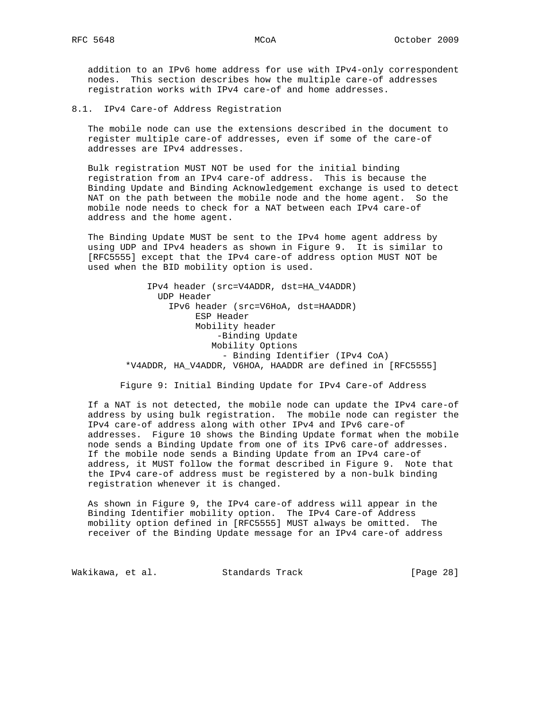addition to an IPv6 home address for use with IPv4-only correspondent nodes. This section describes how the multiple care-of addresses registration works with IPv4 care-of and home addresses.

8.1. IPv4 Care-of Address Registration

 The mobile node can use the extensions described in the document to register multiple care-of addresses, even if some of the care-of addresses are IPv4 addresses.

 Bulk registration MUST NOT be used for the initial binding registration from an IPv4 care-of address. This is because the Binding Update and Binding Acknowledgement exchange is used to detect NAT on the path between the mobile node and the home agent. So the mobile node needs to check for a NAT between each IPv4 care-of address and the home agent.

 The Binding Update MUST be sent to the IPv4 home agent address by using UDP and IPv4 headers as shown in Figure 9. It is similar to [RFC5555] except that the IPv4 care-of address option MUST NOT be used when the BID mobility option is used.

> IPv4 header (src=V4ADDR, dst=HA\_V4ADDR) UDP Header IPv6 header (src=V6HoA, dst=HAADDR) ESP Header Mobility header -Binding Update Mobility Options - Binding Identifier (IPv4 CoA) \*V4ADDR, HA\_V4ADDR, V6HOA, HAADDR are defined in [RFC5555]

Figure 9: Initial Binding Update for IPv4 Care-of Address

 If a NAT is not detected, the mobile node can update the IPv4 care-of address by using bulk registration. The mobile node can register the IPv4 care-of address along with other IPv4 and IPv6 care-of addresses. Figure 10 shows the Binding Update format when the mobile node sends a Binding Update from one of its IPv6 care-of addresses. If the mobile node sends a Binding Update from an IPv4 care-of address, it MUST follow the format described in Figure 9. Note that the IPv4 care-of address must be registered by a non-bulk binding registration whenever it is changed.

 As shown in Figure 9, the IPv4 care-of address will appear in the Binding Identifier mobility option. The IPv4 Care-of Address mobility option defined in [RFC5555] MUST always be omitted. The receiver of the Binding Update message for an IPv4 care-of address

Wakikawa, et al. Standards Track [Page 28]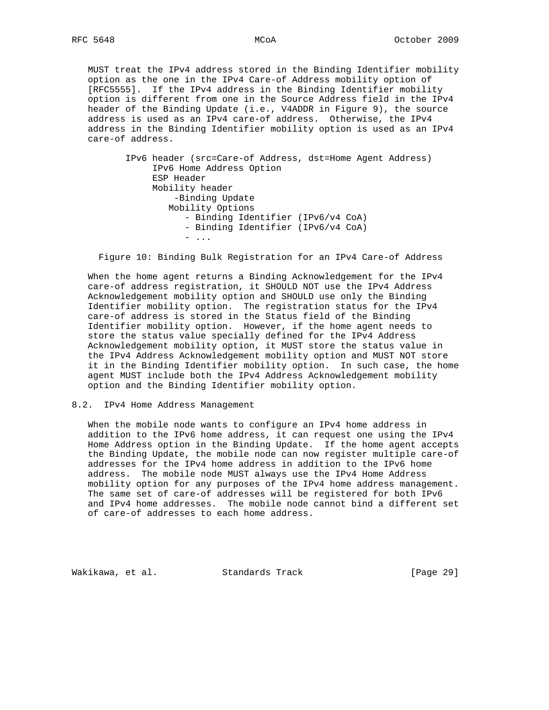MUST treat the IPv4 address stored in the Binding Identifier mobility option as the one in the IPv4 Care-of Address mobility option of [RFC5555]. If the IPv4 address in the Binding Identifier mobility option is different from one in the Source Address field in the IPv4 header of the Binding Update (i.e., V4ADDR in Figure 9), the source address is used as an IPv4 care-of address. Otherwise, the IPv4 address in the Binding Identifier mobility option is used as an IPv4 care-of address.

> IPv6 header (src=Care-of Address, dst=Home Agent Address) IPv6 Home Address Option ESP Header Mobility header -Binding Update Mobility Options - Binding Identifier (IPv6/v4 CoA) - Binding Identifier (IPv6/v4 CoA) - ...

Figure 10: Binding Bulk Registration for an IPv4 Care-of Address

 When the home agent returns a Binding Acknowledgement for the IPv4 care-of address registration, it SHOULD NOT use the IPv4 Address Acknowledgement mobility option and SHOULD use only the Binding Identifier mobility option. The registration status for the IPv4 care-of address is stored in the Status field of the Binding Identifier mobility option. However, if the home agent needs to store the status value specially defined for the IPv4 Address Acknowledgement mobility option, it MUST store the status value in the IPv4 Address Acknowledgement mobility option and MUST NOT store it in the Binding Identifier mobility option. In such case, the home agent MUST include both the IPv4 Address Acknowledgement mobility option and the Binding Identifier mobility option.

## 8.2. IPv4 Home Address Management

 When the mobile node wants to configure an IPv4 home address in addition to the IPv6 home address, it can request one using the IPv4 Home Address option in the Binding Update. If the home agent accepts the Binding Update, the mobile node can now register multiple care-of addresses for the IPv4 home address in addition to the IPv6 home address. The mobile node MUST always use the IPv4 Home Address mobility option for any purposes of the IPv4 home address management. The same set of care-of addresses will be registered for both IPv6 and IPv4 home addresses. The mobile node cannot bind a different set of care-of addresses to each home address.

Wakikawa, et al. Standards Track [Page 29]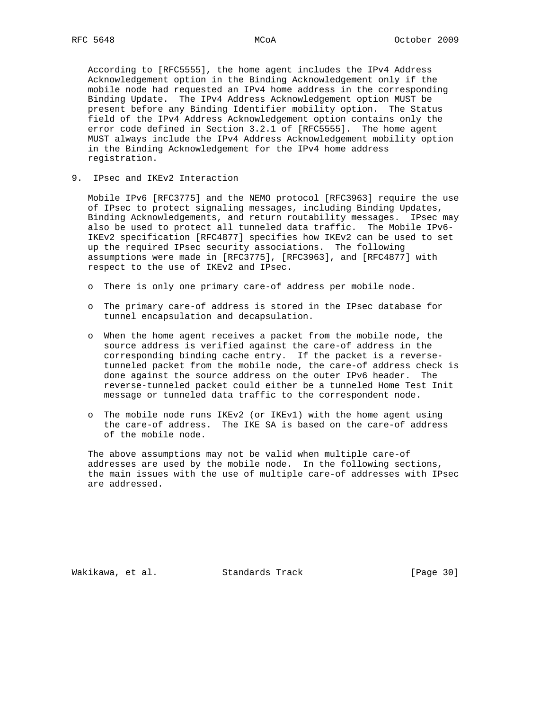According to [RFC5555], the home agent includes the IPv4 Address Acknowledgement option in the Binding Acknowledgement only if the mobile node had requested an IPv4 home address in the corresponding Binding Update. The IPv4 Address Acknowledgement option MUST be present before any Binding Identifier mobility option. The Status field of the IPv4 Address Acknowledgement option contains only the error code defined in Section 3.2.1 of [RFC5555]. The home agent MUST always include the IPv4 Address Acknowledgement mobility option in the Binding Acknowledgement for the IPv4 home address registration.

9. IPsec and IKEv2 Interaction

 Mobile IPv6 [RFC3775] and the NEMO protocol [RFC3963] require the use of IPsec to protect signaling messages, including Binding Updates, Binding Acknowledgements, and return routability messages. IPsec may also be used to protect all tunneled data traffic. The Mobile IPv6- IKEv2 specification [RFC4877] specifies how IKEv2 can be used to set up the required IPsec security associations. The following assumptions were made in [RFC3775], [RFC3963], and [RFC4877] with respect to the use of IKEv2 and IPsec.

- o There is only one primary care-of address per mobile node.
- o The primary care-of address is stored in the IPsec database for tunnel encapsulation and decapsulation.
- o When the home agent receives a packet from the mobile node, the source address is verified against the care-of address in the corresponding binding cache entry. If the packet is a reverse tunneled packet from the mobile node, the care-of address check is done against the source address on the outer IPv6 header. The reverse-tunneled packet could either be a tunneled Home Test Init message or tunneled data traffic to the correspondent node.
- o The mobile node runs IKEv2 (or IKEv1) with the home agent using the care-of address. The IKE SA is based on the care-of address of the mobile node.

 The above assumptions may not be valid when multiple care-of addresses are used by the mobile node. In the following sections, the main issues with the use of multiple care-of addresses with IPsec are addressed.

Wakikawa, et al. Standards Track [Page 30]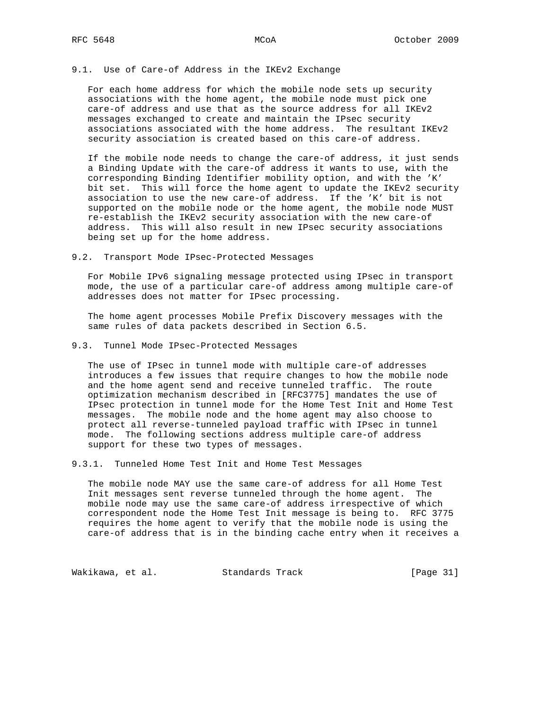## 9.1. Use of Care-of Address in the IKEv2 Exchange

 For each home address for which the mobile node sets up security associations with the home agent, the mobile node must pick one care-of address and use that as the source address for all IKEv2 messages exchanged to create and maintain the IPsec security associations associated with the home address. The resultant IKEv2 security association is created based on this care-of address.

 If the mobile node needs to change the care-of address, it just sends a Binding Update with the care-of address it wants to use, with the corresponding Binding Identifier mobility option, and with the 'K' bit set. This will force the home agent to update the IKEv2 security association to use the new care-of address. If the 'K' bit is not supported on the mobile node or the home agent, the mobile node MUST re-establish the IKEv2 security association with the new care-of address. This will also result in new IPsec security associations being set up for the home address.

9.2. Transport Mode IPsec-Protected Messages

 For Mobile IPv6 signaling message protected using IPsec in transport mode, the use of a particular care-of address among multiple care-of addresses does not matter for IPsec processing.

 The home agent processes Mobile Prefix Discovery messages with the same rules of data packets described in Section 6.5.

9.3. Tunnel Mode IPsec-Protected Messages

 The use of IPsec in tunnel mode with multiple care-of addresses introduces a few issues that require changes to how the mobile node and the home agent send and receive tunneled traffic. The route optimization mechanism described in [RFC3775] mandates the use of IPsec protection in tunnel mode for the Home Test Init and Home Test messages. The mobile node and the home agent may also choose to protect all reverse-tunneled payload traffic with IPsec in tunnel mode. The following sections address multiple care-of address support for these two types of messages.

9.3.1. Tunneled Home Test Init and Home Test Messages

 The mobile node MAY use the same care-of address for all Home Test Init messages sent reverse tunneled through the home agent. The mobile node may use the same care-of address irrespective of which correspondent node the Home Test Init message is being to. RFC 3775 requires the home agent to verify that the mobile node is using the care-of address that is in the binding cache entry when it receives a

Wakikawa, et al. Standards Track [Page 31]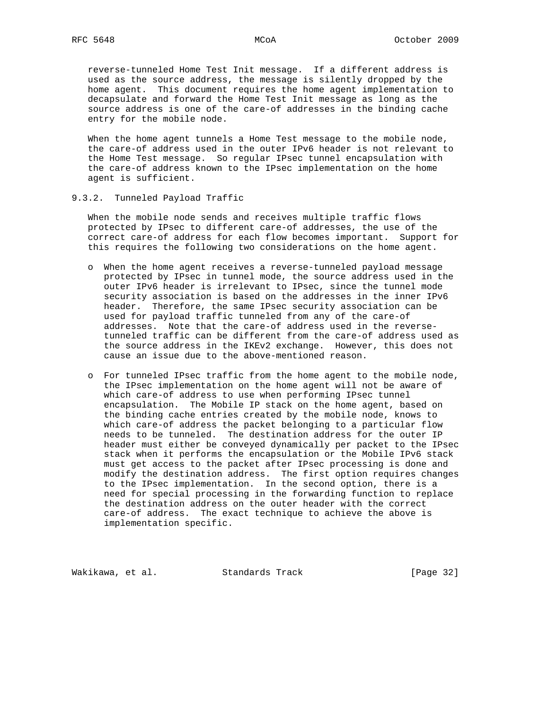reverse-tunneled Home Test Init message. If a different address is used as the source address, the message is silently dropped by the home agent. This document requires the home agent implementation to decapsulate and forward the Home Test Init message as long as the source address is one of the care-of addresses in the binding cache entry for the mobile node.

 When the home agent tunnels a Home Test message to the mobile node, the care-of address used in the outer IPv6 header is not relevant to the Home Test message. So regular IPsec tunnel encapsulation with the care-of address known to the IPsec implementation on the home agent is sufficient.

9.3.2. Tunneled Payload Traffic

 When the mobile node sends and receives multiple traffic flows protected by IPsec to different care-of addresses, the use of the correct care-of address for each flow becomes important. Support for this requires the following two considerations on the home agent.

- o When the home agent receives a reverse-tunneled payload message protected by IPsec in tunnel mode, the source address used in the outer IPv6 header is irrelevant to IPsec, since the tunnel mode security association is based on the addresses in the inner IPv6 header. Therefore, the same IPsec security association can be used for payload traffic tunneled from any of the care-of addresses. Note that the care-of address used in the reverse tunneled traffic can be different from the care-of address used as the source address in the IKEv2 exchange. However, this does not cause an issue due to the above-mentioned reason.
- o For tunneled IPsec traffic from the home agent to the mobile node, the IPsec implementation on the home agent will not be aware of which care-of address to use when performing IPsec tunnel encapsulation. The Mobile IP stack on the home agent, based on the binding cache entries created by the mobile node, knows to which care-of address the packet belonging to a particular flow needs to be tunneled. The destination address for the outer IP header must either be conveyed dynamically per packet to the IPsec stack when it performs the encapsulation or the Mobile IPv6 stack must get access to the packet after IPsec processing is done and modify the destination address. The first option requires changes to the IPsec implementation. In the second option, there is a need for special processing in the forwarding function to replace the destination address on the outer header with the correct care-of address. The exact technique to achieve the above is implementation specific.

Wakikawa, et al. Standards Track [Page 32]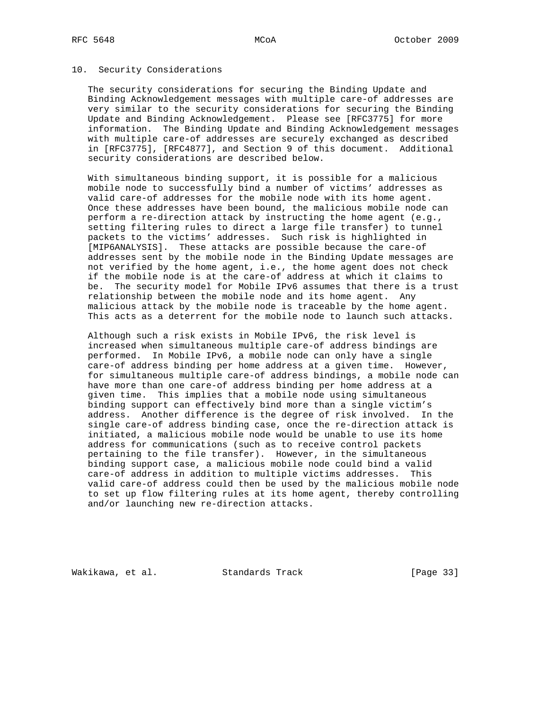#### 10. Security Considerations

 The security considerations for securing the Binding Update and Binding Acknowledgement messages with multiple care-of addresses are very similar to the security considerations for securing the Binding Update and Binding Acknowledgement. Please see [RFC3775] for more information. The Binding Update and Binding Acknowledgement messages with multiple care-of addresses are securely exchanged as described in [RFC3775], [RFC4877], and Section 9 of this document. Additional security considerations are described below.

 With simultaneous binding support, it is possible for a malicious mobile node to successfully bind a number of victims' addresses as valid care-of addresses for the mobile node with its home agent. Once these addresses have been bound, the malicious mobile node can perform a re-direction attack by instructing the home agent (e.g., setting filtering rules to direct a large file transfer) to tunnel packets to the victims' addresses. Such risk is highlighted in [MIP6ANALYSIS]. These attacks are possible because the care-of addresses sent by the mobile node in the Binding Update messages are not verified by the home agent, i.e., the home agent does not check if the mobile node is at the care-of address at which it claims to be. The security model for Mobile IPv6 assumes that there is a trust relationship between the mobile node and its home agent. Any malicious attack by the mobile node is traceable by the home agent. This acts as a deterrent for the mobile node to launch such attacks.

 Although such a risk exists in Mobile IPv6, the risk level is increased when simultaneous multiple care-of address bindings are performed. In Mobile IPv6, a mobile node can only have a single care-of address binding per home address at a given time. However, for simultaneous multiple care-of address bindings, a mobile node can have more than one care-of address binding per home address at a given time. This implies that a mobile node using simultaneous binding support can effectively bind more than a single victim's address. Another difference is the degree of risk involved. In the single care-of address binding case, once the re-direction attack is initiated, a malicious mobile node would be unable to use its home address for communications (such as to receive control packets pertaining to the file transfer). However, in the simultaneous binding support case, a malicious mobile node could bind a valid care-of address in addition to multiple victims addresses. This valid care-of address could then be used by the malicious mobile node to set up flow filtering rules at its home agent, thereby controlling and/or launching new re-direction attacks.

Wakikawa, et al. Standards Track [Page 33]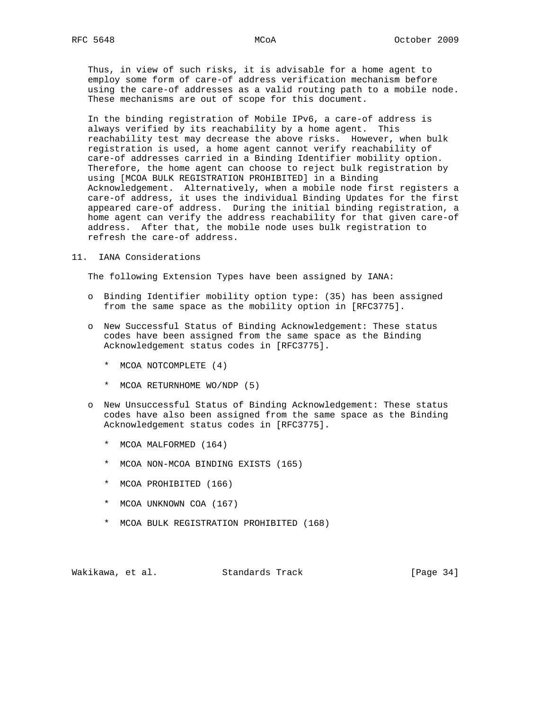Thus, in view of such risks, it is advisable for a home agent to employ some form of care-of address verification mechanism before using the care-of addresses as a valid routing path to a mobile node. These mechanisms are out of scope for this document.

 In the binding registration of Mobile IPv6, a care-of address is always verified by its reachability by a home agent. This reachability test may decrease the above risks. However, when bulk registration is used, a home agent cannot verify reachability of care-of addresses carried in a Binding Identifier mobility option. Therefore, the home agent can choose to reject bulk registration by using [MCOA BULK REGISTRATION PROHIBITED] in a Binding Acknowledgement. Alternatively, when a mobile node first registers a care-of address, it uses the individual Binding Updates for the first appeared care-of address. During the initial binding registration, a home agent can verify the address reachability for that given care-of address. After that, the mobile node uses bulk registration to refresh the care-of address.

11. IANA Considerations

The following Extension Types have been assigned by IANA:

- o Binding Identifier mobility option type: (35) has been assigned from the same space as the mobility option in [RFC3775].
- o New Successful Status of Binding Acknowledgement: These status codes have been assigned from the same space as the Binding Acknowledgement status codes in [RFC3775].
	- \* MCOA NOTCOMPLETE (4)
	- \* MCOA RETURNHOME WO/NDP (5)
- o New Unsuccessful Status of Binding Acknowledgement: These status codes have also been assigned from the same space as the Binding Acknowledgement status codes in [RFC3775].
	- \* MCOA MALFORMED (164)
	- \* MCOA NON-MCOA BINDING EXISTS (165)
	- \* MCOA PROHIBITED (166)
	- \* MCOA UNKNOWN COA (167)
	- \* MCOA BULK REGISTRATION PROHIBITED (168)

Wakikawa, et al. Standards Track [Page 34]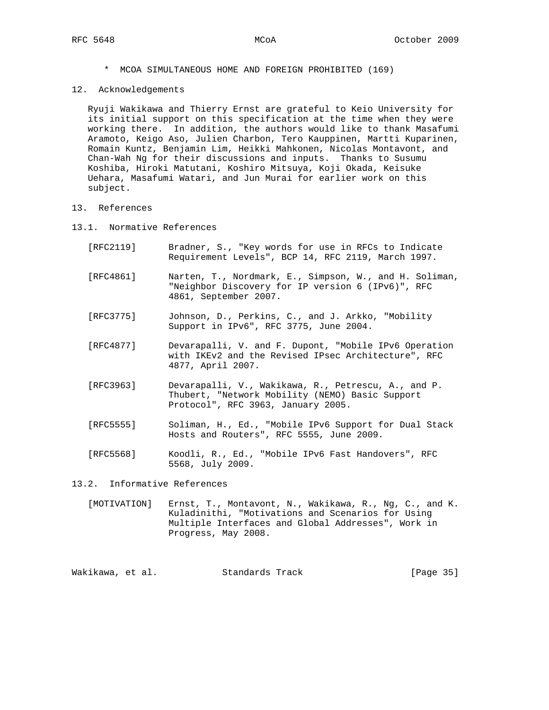- \* MCOA SIMULTANEOUS HOME AND FOREIGN PROHIBITED (169)
- 12. Acknowledgements

 Ryuji Wakikawa and Thierry Ernst are grateful to Keio University for its initial support on this specification at the time when they were working there. In addition, the authors would like to thank Masafumi Aramoto, Keigo Aso, Julien Charbon, Tero Kauppinen, Martti Kuparinen, Romain Kuntz, Benjamin Lim, Heikki Mahkonen, Nicolas Montavont, and Chan-Wah Ng for their discussions and inputs. Thanks to Susumu Koshiba, Hiroki Matutani, Koshiro Mitsuya, Koji Okada, Keisuke Uehara, Masafumi Watari, and Jun Murai for earlier work on this subject.

- 13. References
- 13.1. Normative References
	- [RFC2119] Bradner, S., "Key words for use in RFCs to Indicate Requirement Levels", BCP 14, RFC 2119, March 1997.
	- [RFC4861] Narten, T., Nordmark, E., Simpson, W., and H. Soliman, "Neighbor Discovery for IP version 6 (IPv6)", RFC 4861, September 2007.
	- [RFC3775] Johnson, D., Perkins, C., and J. Arkko, "Mobility Support in IPv6", RFC 3775, June 2004.
	- [RFC4877] Devarapalli, V. and F. Dupont, "Mobile IPv6 Operation with IKEv2 and the Revised IPsec Architecture", RFC 4877, April 2007.
	- [RFC3963] Devarapalli, V., Wakikawa, R., Petrescu, A., and P. Thubert, "Network Mobility (NEMO) Basic Support Protocol", RFC 3963, January 2005.
	- [RFC5555] Soliman, H., Ed., "Mobile IPv6 Support for Dual Stack Hosts and Routers", RFC 5555, June 2009.
	- [RFC5568] Koodli, R., Ed., "Mobile IPv6 Fast Handovers", RFC 5568, July 2009.

13.2. Informative References

 [MOTIVATION] Ernst, T., Montavont, N., Wakikawa, R., Ng, C., and K. Kuladinithi, "Motivations and Scenarios for Using Multiple Interfaces and Global Addresses", Work in Progress, May 2008.

Wakikawa, et al. Standards Track [Page 35]